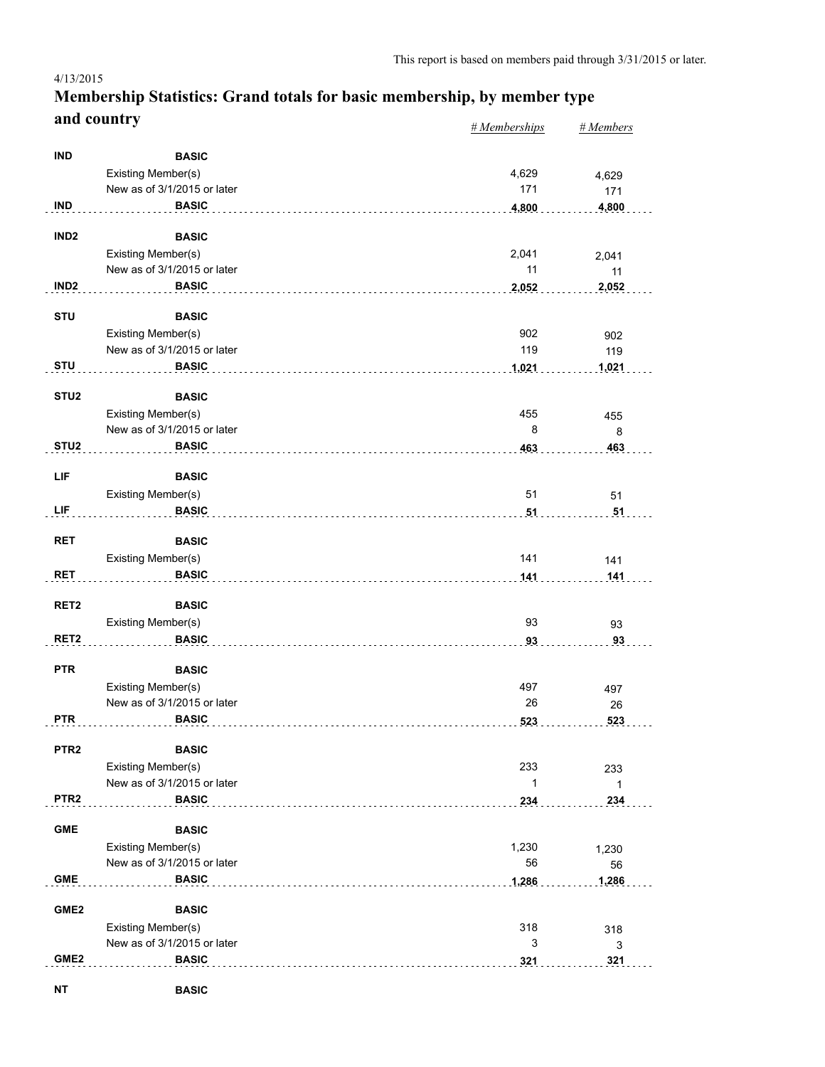#### *# Memberships # Members* **Membership Statistics: Grand totals for basic membership, by member type and country** 4/13/2015

|                  |                                    | $\pi$ <i>m</i> cmocronips | $\pi$ <i>inchivers</i> |
|------------------|------------------------------------|---------------------------|------------------------|
| <b>IND</b>       | <b>BASIC</b>                       |                           |                        |
|                  | Existing Member(s)                 | 4,629                     | 4,629                  |
|                  | New as of 3/1/2015 or later        | 171                       | 171                    |
| <b>IND</b>       | <b>BASIC</b>                       | 4,800                     | 4,800                  |
|                  |                                    |                           |                        |
| IND <sub>2</sub> | <b>BASIC</b>                       |                           |                        |
|                  | Existing Member(s)                 | 2,041                     | 2,041                  |
|                  | New as of 3/1/2015 or later        | 11                        | 11                     |
| IND <sub>2</sub> | <b>BASIC</b>                       | 2,052                     | 2,052                  |
| <b>STU</b>       | <b>BASIC</b>                       |                           |                        |
|                  | Existing Member(s)                 | 902                       | 902                    |
|                  | New as of 3/1/2015 or later        | 119                       | 119                    |
| <b>STU</b>       | <b>BASIC</b>                       | 1,021                     | 1,021                  |
|                  |                                    |                           |                        |
| STU <sub>2</sub> | <b>BASIC</b>                       |                           |                        |
|                  | Existing Member(s)                 | 455                       | 455                    |
|                  | New as of 3/1/2015 or later        | 8                         | 8                      |
| STU <sub>2</sub> | <b>BASIC</b>                       | 463                       | 463                    |
| LIF              | <b>BASIC</b>                       |                           |                        |
|                  |                                    | 51                        |                        |
| LIF              | Existing Member(s)<br><b>BASIC</b> |                           | 51                     |
|                  |                                    | 51                        | 51                     |
| <b>RET</b>       | <b>BASIC</b>                       |                           |                        |
|                  | Existing Member(s)                 | 141                       | 141                    |
| <b>RET</b>       | <b>BASIC</b>                       | 141                       | 141                    |
|                  |                                    |                           |                        |
| RET <sub>2</sub> | <b>BASIC</b>                       |                           |                        |
|                  | Existing Member(s)                 | 93                        | 93                     |
| RET <sub>2</sub> | <b>BASIC</b>                       | 93                        | 93                     |
|                  |                                    |                           |                        |
| <b>PTR</b>       | <b>BASIC</b>                       |                           |                        |
|                  | Existing Member(s)                 | 497                       | 497                    |
|                  | New as of 3/1/2015 or later        | 26                        | 26                     |
| <b>PTR</b>       | <b>BASIC</b>                       | 523                       | 523                    |
| PTR <sub>2</sub> | <b>BASIC</b>                       |                           |                        |
|                  | Existing Member(s)                 | 233                       | 233                    |
|                  | New as of 3/1/2015 or later        | 1                         | $\mathbf{1}$           |
| PTR <sub>2</sub> | <b>BASIC</b>                       | 234                       | 234                    |
|                  |                                    |                           |                        |
| <b>GME</b>       | <b>BASIC</b>                       |                           |                        |
|                  | Existing Member(s)                 | 1,230                     | 1,230                  |
|                  | New as of 3/1/2015 or later        | 56                        | 56                     |
| <b>GME</b>       | <b>BASIC</b>                       | 1,286                     | 1,286                  |
| GME <sub>2</sub> | <b>BASIC</b>                       |                           |                        |
|                  | Existing Member(s)                 | 318                       | 318                    |
|                  | New as of 3/1/2015 or later        | 3                         | 3                      |
| GME <sub>2</sub> | <b>BASIC</b>                       | 321                       | 321                    |
|                  |                                    |                           |                        |
| <b>NT</b>        | <b>BASIC</b>                       |                           |                        |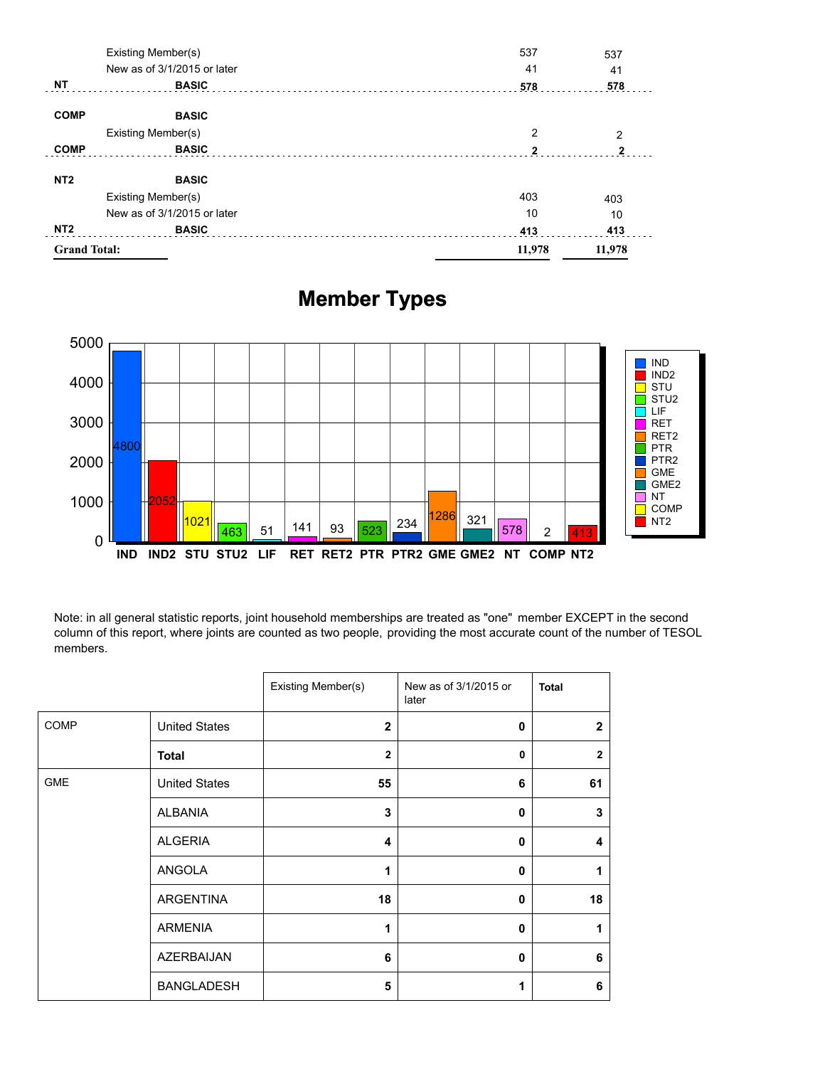| <b>Grand Total:</b> |                             | 11,978 | 11,978       |
|---------------------|-----------------------------|--------|--------------|
| NT <sub>2</sub>     | <b>BASIC</b>                | 413    | 413          |
|                     | New as of 3/1/2015 or later | 10     | 10           |
|                     | Existing Member(s)          | 403    | 403          |
| NT <sub>2</sub>     | <b>BASIC</b>                |        |              |
| <b>COMP</b>         | <b>BASIC</b>                | 2      | $\mathbf{2}$ |
|                     | Existing Member(s)          | 2      | 2            |
| <b>COMP</b>         | <b>BASIC</b>                |        |              |
| <b>NT</b>           | <b>BASIC</b>                | 578    | 578          |
|                     | New as of 3/1/2015 or later | 41     | 41           |
|                     | Existing Member(s)          | 537    | 537          |

# **Member Types**



Note: in all general statistic reports, joint household memberships are treated as "one" member EXCEPT in the second column of this report, where joints are counted as two people, providing the most accurate count of the number of TESOL members.

|             |                      | Existing Member(s) | New as of 3/1/2015 or<br>later | <b>Total</b>   |
|-------------|----------------------|--------------------|--------------------------------|----------------|
| <b>COMP</b> | <b>United States</b> | $\mathbf{2}$       | 0                              | $\overline{2}$ |
|             | <b>Total</b>         | $\overline{2}$     | 0                              | $\overline{2}$ |
| <b>GME</b>  | <b>United States</b> | 55                 | 6                              | 61             |
|             | <b>ALBANIA</b>       | 3                  | 0                              | 3              |
|             | <b>ALGERIA</b>       | 4                  | 0                              | 4              |
|             | ANGOLA               | 1                  | 0                              | 1              |
|             | ARGENTINA            | 18                 | 0                              | 18             |
|             | <b>ARMENIA</b>       | 1                  | 0                              | 1              |
|             | <b>AZERBAIJAN</b>    | 6                  | 0                              | 6              |
|             | <b>BANGLADESH</b>    | 5                  | 1                              | 6              |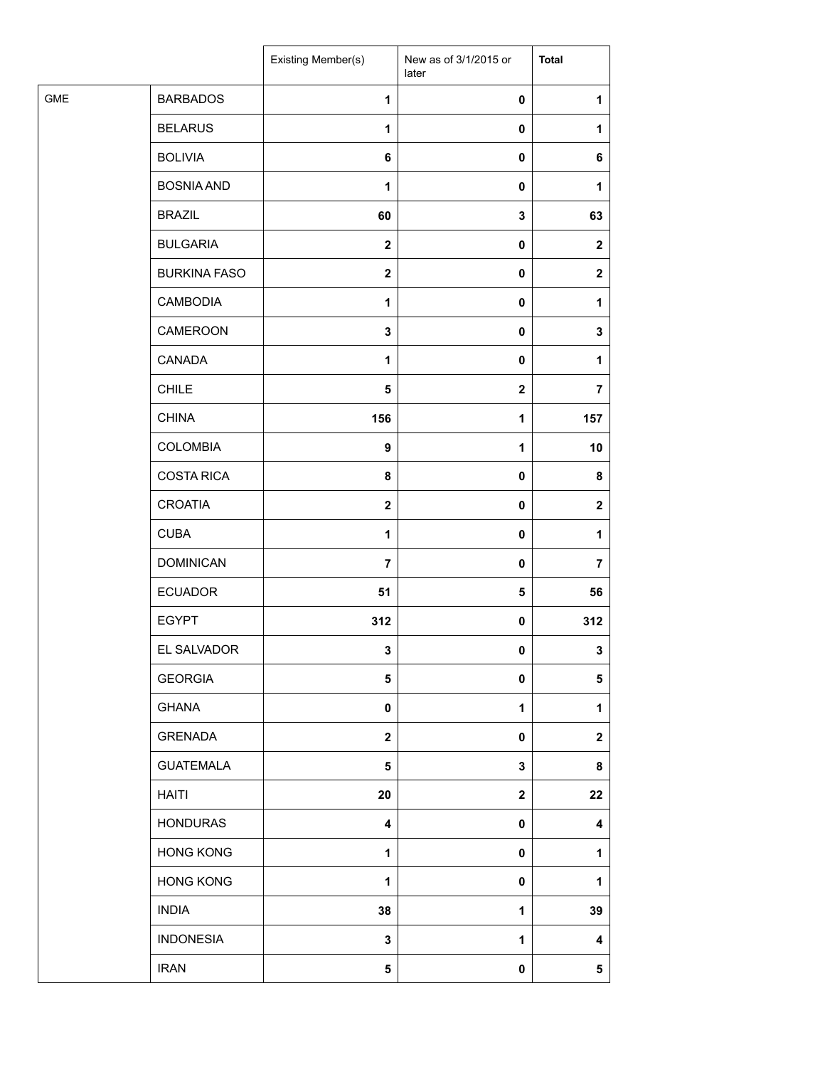|            |                     | Existing Member(s)      | New as of 3/1/2015 or<br>later | <b>Total</b>   |
|------------|---------------------|-------------------------|--------------------------------|----------------|
| <b>GME</b> | <b>BARBADOS</b>     | $\mathbf{1}$            | 0                              | 1              |
|            | <b>BELARUS</b>      | 1                       | 0                              | 1              |
|            | <b>BOLIVIA</b>      | 6                       | 0                              | 6              |
|            | <b>BOSNIA AND</b>   | $\mathbf{1}$            | 0                              | 1              |
|            | <b>BRAZIL</b>       | 60                      | 3                              | 63             |
|            | <b>BULGARIA</b>     | $\mathbf{2}$            | 0                              | $\mathbf{2}$   |
|            | <b>BURKINA FASO</b> | $\mathbf{2}$            | 0                              | $\mathbf{2}$   |
|            | <b>CAMBODIA</b>     | 1                       | 0                              | 1              |
|            | CAMEROON            | $\mathbf 3$             | 0                              | 3              |
|            | CANADA              | 1                       | 0                              | 1              |
|            | <b>CHILE</b>        | 5                       | $\mathbf 2$                    | 7              |
|            | <b>CHINA</b>        | 156                     | $\mathbf 1$                    | 157            |
|            | <b>COLOMBIA</b>     | 9                       | $\mathbf 1$                    | 10             |
|            | <b>COSTA RICA</b>   | 8                       | $\pmb{0}$                      | 8              |
|            | <b>CROATIA</b>      | $\mathbf{2}$            | 0                              | $\mathbf 2$    |
|            | <b>CUBA</b>         | $\mathbf{1}$            | 0                              | $\mathbf{1}$   |
|            | <b>DOMINICAN</b>    | $\overline{7}$          | 0                              | $\overline{7}$ |
|            | <b>ECUADOR</b>      | 51                      | ${\bf 5}$                      | 56             |
|            | <b>EGYPT</b>        | 312                     | $\pmb{0}$                      | 312            |
|            | EL SALVADOR         | 3                       | $\mathbf{0}$                   | 3              |
|            | <b>GEORGIA</b>      | $\overline{\mathbf{5}}$ | $\pmb{0}$                      | 5              |
|            | <b>GHANA</b>        | $\mathbf 0$             | 1                              | 1              |
|            | <b>GRENADA</b>      | $\mathbf{2}$            | 0                              | $\mathbf 2$    |
|            | <b>GUATEMALA</b>    | $\overline{\mathbf{5}}$ | 3                              | 8              |
|            | <b>HAITI</b>        | 20                      | $\mathbf 2$                    | 22             |
|            | <b>HONDURAS</b>     | 4                       | 0                              | 4              |
|            | <b>HONG KONG</b>    | $\mathbf{1}$            | 0                              | 1              |
|            | <b>HONG KONG</b>    | $\mathbf{1}$            | 0                              | 1              |
|            | <b>INDIA</b>        | 38                      | 1                              | 39             |
|            | <b>INDONESIA</b>    | 3                       | 1                              | 4              |
|            | <b>IRAN</b>         | 5                       | $\pmb{0}$                      | 5              |
|            |                     |                         |                                |                |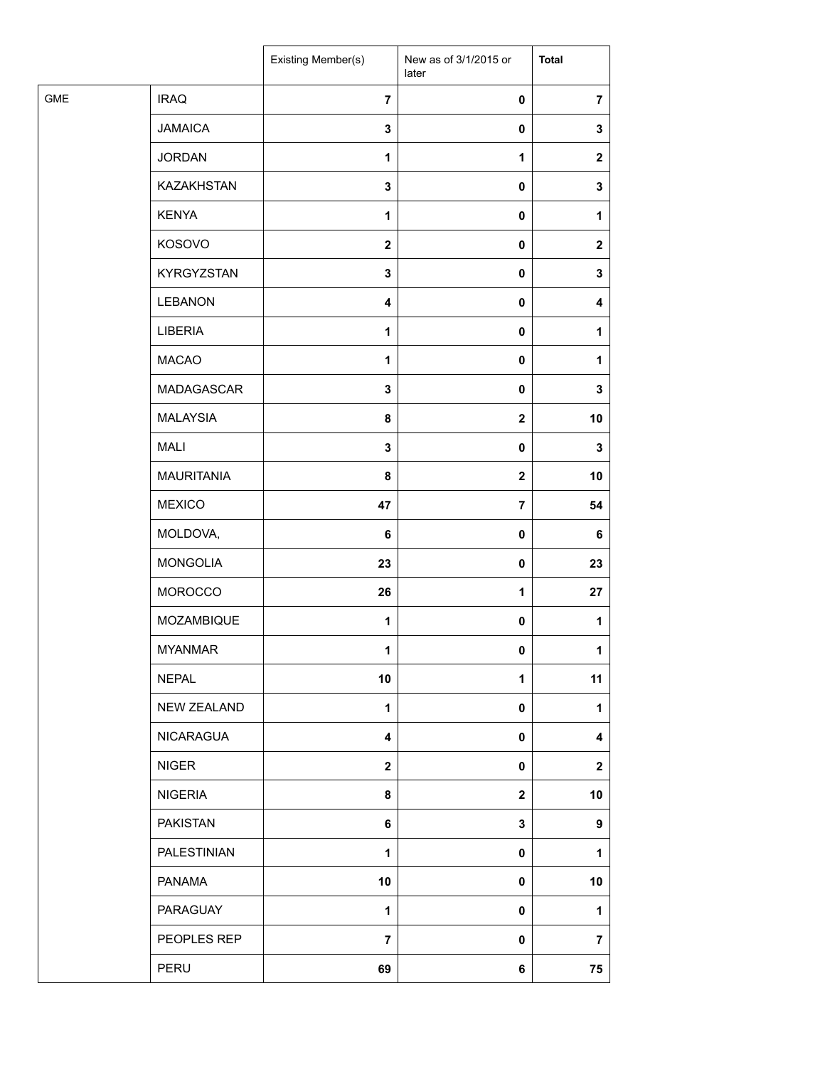| <b>GME</b><br><b>IRAQ</b><br>$\overline{7}$<br>$\pmb{0}$<br><b>JAMAICA</b><br>$\mathbf 3$<br>$\pmb{0}$<br><b>JORDAN</b><br>$\mathbf 1$<br>1<br>KAZAKHSTAN<br>$\mathbf 3$<br>0<br><b>KENYA</b><br>$\mathbf{1}$<br>0<br>KOSOVO<br>$\mathbf{2}$<br>0<br>KYRGYZSTAN<br>$\mathbf 3$<br>$\pmb{0}$<br><b>LEBANON</b><br>$\pmb{0}$<br>$\overline{\mathbf{4}}$<br>LIBERIA<br>$\mathbf 1$<br>0<br><b>MACAO</b><br>$\mathbf{1}$<br>0<br>MADAGASCAR<br>3<br>$\mathbf 0$<br><b>MALAYSIA</b><br>8<br>$\mathbf 2$<br><b>MALI</b><br>$\mathbf 3$<br>$\pmb{0}$<br><b>MAURITANIA</b><br>8<br>$\mathbf 2$<br><b>MEXICO</b><br>47<br>$\overline{7}$<br>MOLDOVA,<br>6<br>0<br><b>MONGOLIA</b><br>23<br>0<br>MOROCCO<br>26<br>1<br>MOZAMBIQUE<br>$\mathbf 1$<br>$\pmb{0}$<br><b>MYANMAR</b><br>$\mathbf{1}$<br>0<br><b>NEPAL</b><br>10<br>$\mathbf{1}$<br>NEW ZEALAND<br>$\mathbf{1}$<br>0<br><b>NICARAGUA</b><br>0<br>4<br><b>NIGER</b><br>$\mathbf{2}$<br>0<br><b>NIGERIA</b><br>$\mathbf 2$<br>8<br><b>PAKISTAN</b><br>3<br>6<br>PALESTINIAN<br>$\mathbf{1}$<br>0<br><b>PANAMA</b><br>10<br>0<br>PARAGUAY<br>$\mathbf{1}$<br>0<br>PEOPLES REP<br>$\overline{7}$<br>0<br>PERU<br>69<br>6 |  | Existing Member(s) | New as of 3/1/2015 or<br>later | <b>Total</b>   |
|----------------------------------------------------------------------------------------------------------------------------------------------------------------------------------------------------------------------------------------------------------------------------------------------------------------------------------------------------------------------------------------------------------------------------------------------------------------------------------------------------------------------------------------------------------------------------------------------------------------------------------------------------------------------------------------------------------------------------------------------------------------------------------------------------------------------------------------------------------------------------------------------------------------------------------------------------------------------------------------------------------------------------------------------------------------------------------------------------------------------------------------------------------------------|--|--------------------|--------------------------------|----------------|
|                                                                                                                                                                                                                                                                                                                                                                                                                                                                                                                                                                                                                                                                                                                                                                                                                                                                                                                                                                                                                                                                                                                                                                      |  |                    |                                | $\overline{7}$ |
|                                                                                                                                                                                                                                                                                                                                                                                                                                                                                                                                                                                                                                                                                                                                                                                                                                                                                                                                                                                                                                                                                                                                                                      |  |                    |                                | 3              |
|                                                                                                                                                                                                                                                                                                                                                                                                                                                                                                                                                                                                                                                                                                                                                                                                                                                                                                                                                                                                                                                                                                                                                                      |  |                    |                                | $\mathbf{2}$   |
|                                                                                                                                                                                                                                                                                                                                                                                                                                                                                                                                                                                                                                                                                                                                                                                                                                                                                                                                                                                                                                                                                                                                                                      |  |                    |                                | 3              |
|                                                                                                                                                                                                                                                                                                                                                                                                                                                                                                                                                                                                                                                                                                                                                                                                                                                                                                                                                                                                                                                                                                                                                                      |  |                    |                                | 1              |
|                                                                                                                                                                                                                                                                                                                                                                                                                                                                                                                                                                                                                                                                                                                                                                                                                                                                                                                                                                                                                                                                                                                                                                      |  |                    |                                | $\mathbf{2}$   |
|                                                                                                                                                                                                                                                                                                                                                                                                                                                                                                                                                                                                                                                                                                                                                                                                                                                                                                                                                                                                                                                                                                                                                                      |  |                    |                                | 3              |
|                                                                                                                                                                                                                                                                                                                                                                                                                                                                                                                                                                                                                                                                                                                                                                                                                                                                                                                                                                                                                                                                                                                                                                      |  |                    |                                | 4              |
|                                                                                                                                                                                                                                                                                                                                                                                                                                                                                                                                                                                                                                                                                                                                                                                                                                                                                                                                                                                                                                                                                                                                                                      |  |                    |                                | 1              |
|                                                                                                                                                                                                                                                                                                                                                                                                                                                                                                                                                                                                                                                                                                                                                                                                                                                                                                                                                                                                                                                                                                                                                                      |  |                    |                                | 1              |
|                                                                                                                                                                                                                                                                                                                                                                                                                                                                                                                                                                                                                                                                                                                                                                                                                                                                                                                                                                                                                                                                                                                                                                      |  |                    |                                | 3              |
|                                                                                                                                                                                                                                                                                                                                                                                                                                                                                                                                                                                                                                                                                                                                                                                                                                                                                                                                                                                                                                                                                                                                                                      |  |                    |                                | 10             |
|                                                                                                                                                                                                                                                                                                                                                                                                                                                                                                                                                                                                                                                                                                                                                                                                                                                                                                                                                                                                                                                                                                                                                                      |  |                    |                                | 3              |
|                                                                                                                                                                                                                                                                                                                                                                                                                                                                                                                                                                                                                                                                                                                                                                                                                                                                                                                                                                                                                                                                                                                                                                      |  |                    |                                | 10             |
|                                                                                                                                                                                                                                                                                                                                                                                                                                                                                                                                                                                                                                                                                                                                                                                                                                                                                                                                                                                                                                                                                                                                                                      |  |                    |                                | 54             |
|                                                                                                                                                                                                                                                                                                                                                                                                                                                                                                                                                                                                                                                                                                                                                                                                                                                                                                                                                                                                                                                                                                                                                                      |  |                    |                                | 6              |
|                                                                                                                                                                                                                                                                                                                                                                                                                                                                                                                                                                                                                                                                                                                                                                                                                                                                                                                                                                                                                                                                                                                                                                      |  |                    |                                | 23             |
|                                                                                                                                                                                                                                                                                                                                                                                                                                                                                                                                                                                                                                                                                                                                                                                                                                                                                                                                                                                                                                                                                                                                                                      |  |                    |                                | 27             |
|                                                                                                                                                                                                                                                                                                                                                                                                                                                                                                                                                                                                                                                                                                                                                                                                                                                                                                                                                                                                                                                                                                                                                                      |  |                    |                                | 1              |
|                                                                                                                                                                                                                                                                                                                                                                                                                                                                                                                                                                                                                                                                                                                                                                                                                                                                                                                                                                                                                                                                                                                                                                      |  |                    |                                | 1              |
|                                                                                                                                                                                                                                                                                                                                                                                                                                                                                                                                                                                                                                                                                                                                                                                                                                                                                                                                                                                                                                                                                                                                                                      |  |                    |                                | 11             |
|                                                                                                                                                                                                                                                                                                                                                                                                                                                                                                                                                                                                                                                                                                                                                                                                                                                                                                                                                                                                                                                                                                                                                                      |  |                    |                                | 1              |
|                                                                                                                                                                                                                                                                                                                                                                                                                                                                                                                                                                                                                                                                                                                                                                                                                                                                                                                                                                                                                                                                                                                                                                      |  |                    |                                | 4              |
|                                                                                                                                                                                                                                                                                                                                                                                                                                                                                                                                                                                                                                                                                                                                                                                                                                                                                                                                                                                                                                                                                                                                                                      |  |                    |                                | $\mathbf{2}$   |
|                                                                                                                                                                                                                                                                                                                                                                                                                                                                                                                                                                                                                                                                                                                                                                                                                                                                                                                                                                                                                                                                                                                                                                      |  |                    |                                | 10             |
|                                                                                                                                                                                                                                                                                                                                                                                                                                                                                                                                                                                                                                                                                                                                                                                                                                                                                                                                                                                                                                                                                                                                                                      |  |                    |                                | 9              |
|                                                                                                                                                                                                                                                                                                                                                                                                                                                                                                                                                                                                                                                                                                                                                                                                                                                                                                                                                                                                                                                                                                                                                                      |  |                    |                                | 1              |
|                                                                                                                                                                                                                                                                                                                                                                                                                                                                                                                                                                                                                                                                                                                                                                                                                                                                                                                                                                                                                                                                                                                                                                      |  |                    |                                | 10             |
|                                                                                                                                                                                                                                                                                                                                                                                                                                                                                                                                                                                                                                                                                                                                                                                                                                                                                                                                                                                                                                                                                                                                                                      |  |                    |                                | 1              |
|                                                                                                                                                                                                                                                                                                                                                                                                                                                                                                                                                                                                                                                                                                                                                                                                                                                                                                                                                                                                                                                                                                                                                                      |  |                    |                                | 7              |
|                                                                                                                                                                                                                                                                                                                                                                                                                                                                                                                                                                                                                                                                                                                                                                                                                                                                                                                                                                                                                                                                                                                                                                      |  |                    |                                | 75             |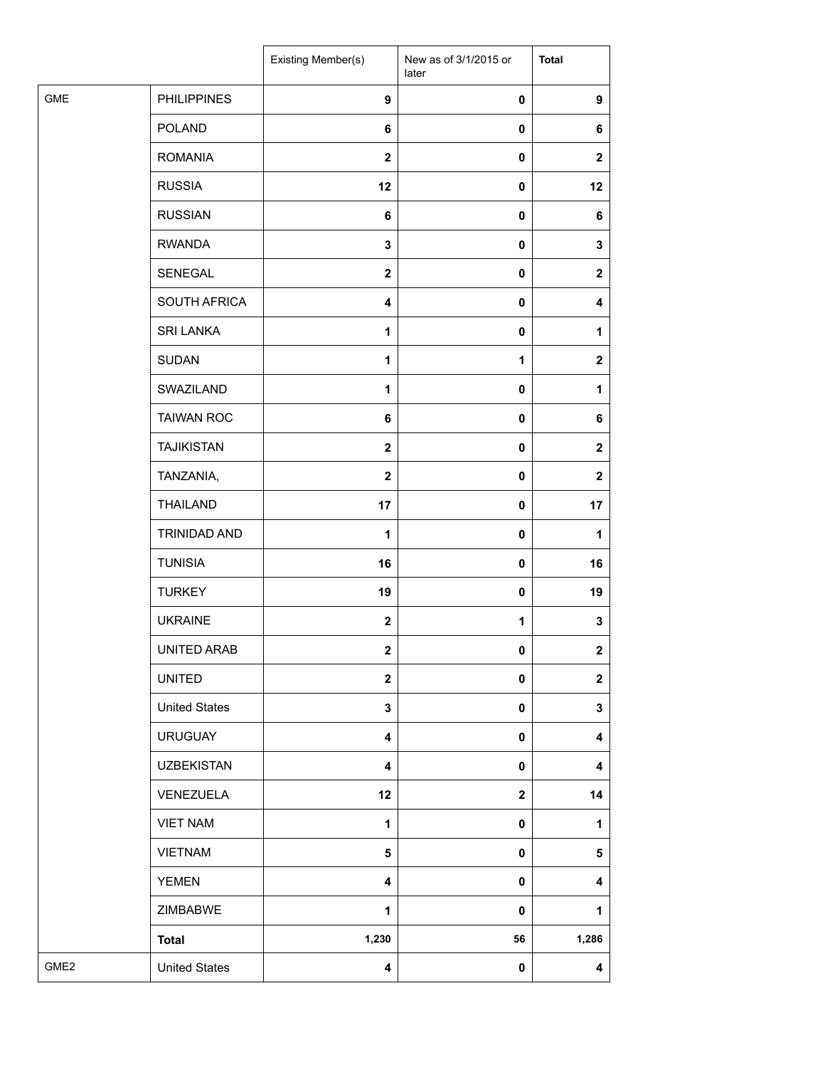|                  |                      | Existing Member(s)      | New as of 3/1/2015 or<br>later | <b>Total</b>            |
|------------------|----------------------|-------------------------|--------------------------------|-------------------------|
| <b>GME</b>       | <b>PHILIPPINES</b>   | $\boldsymbol{9}$        | 0                              | $\boldsymbol{9}$        |
|                  | <b>POLAND</b>        | 6                       | 0                              | 6                       |
|                  | <b>ROMANIA</b>       | $\mathbf 2$             | 0                              | $\mathbf 2$             |
|                  | <b>RUSSIA</b>        | 12                      | 0                              | 12                      |
|                  | <b>RUSSIAN</b>       | 6                       | 0                              | 6                       |
|                  | <b>RWANDA</b>        | 3                       | 0                              | 3                       |
|                  | SENEGAL              | $\mathbf{2}$            | 0                              | $\mathbf 2$             |
|                  | SOUTH AFRICA         | 4                       | $\pmb{0}$                      | 4                       |
|                  | <b>SRI LANKA</b>     | 1                       | $\pmb{0}$                      | 1                       |
|                  | <b>SUDAN</b>         | $\mathbf{1}$            | 1                              | $\mathbf 2$             |
|                  | SWAZILAND            | 1                       | $\mathbf 0$                    | 1                       |
|                  | <b>TAIWAN ROC</b>    | 6                       | 0                              | 6                       |
|                  | <b>TAJIKISTAN</b>    | $\mathbf{2}$            | 0                              | $\mathbf 2$             |
|                  | TANZANIA,            | $\mathbf 2$             | $\mathbf 0$                    | $\mathbf 2$             |
|                  | <b>THAILAND</b>      | 17                      | 0                              | 17                      |
|                  | <b>TRINIDAD AND</b>  | 1                       | 0                              | 1                       |
|                  | <b>TUNISIA</b>       | 16                      | 0                              | 16                      |
|                  | <b>TURKEY</b>        | 19                      | 0                              | 19                      |
|                  | <b>UKRAINE</b>       | $\boldsymbol{2}$        | 1                              | 3                       |
|                  | UNITED ARAB          | $\bf{2}$                | 0                              | $\mathbf 2$             |
|                  | <b>UNITED</b>        | $\overline{\mathbf{2}}$ | 0                              | $\overline{\mathbf{2}}$ |
|                  | <b>United States</b> | 3                       | 0                              | 3                       |
|                  | <b>URUGUAY</b>       | 4                       | 0                              | 4                       |
|                  | <b>UZBEKISTAN</b>    | $\overline{\mathbf{4}}$ | 0                              | 4                       |
|                  | VENEZUELA            | 12                      | $\mathbf 2$                    | 14                      |
|                  | <b>VIET NAM</b>      | 1                       | 0                              | $\mathbf{1}$            |
|                  | <b>VIETNAM</b>       | 5                       | 0                              | 5                       |
|                  | <b>YEMEN</b>         | 4                       | 0                              | 4                       |
|                  | ZIMBABWE             | 1                       | 0                              | $\mathbf{1}$            |
|                  | <b>Total</b>         | 1,230                   | 56                             | 1,286                   |
| GME <sub>2</sub> | <b>United States</b> | 4                       | 0                              | $\overline{\mathbf{4}}$ |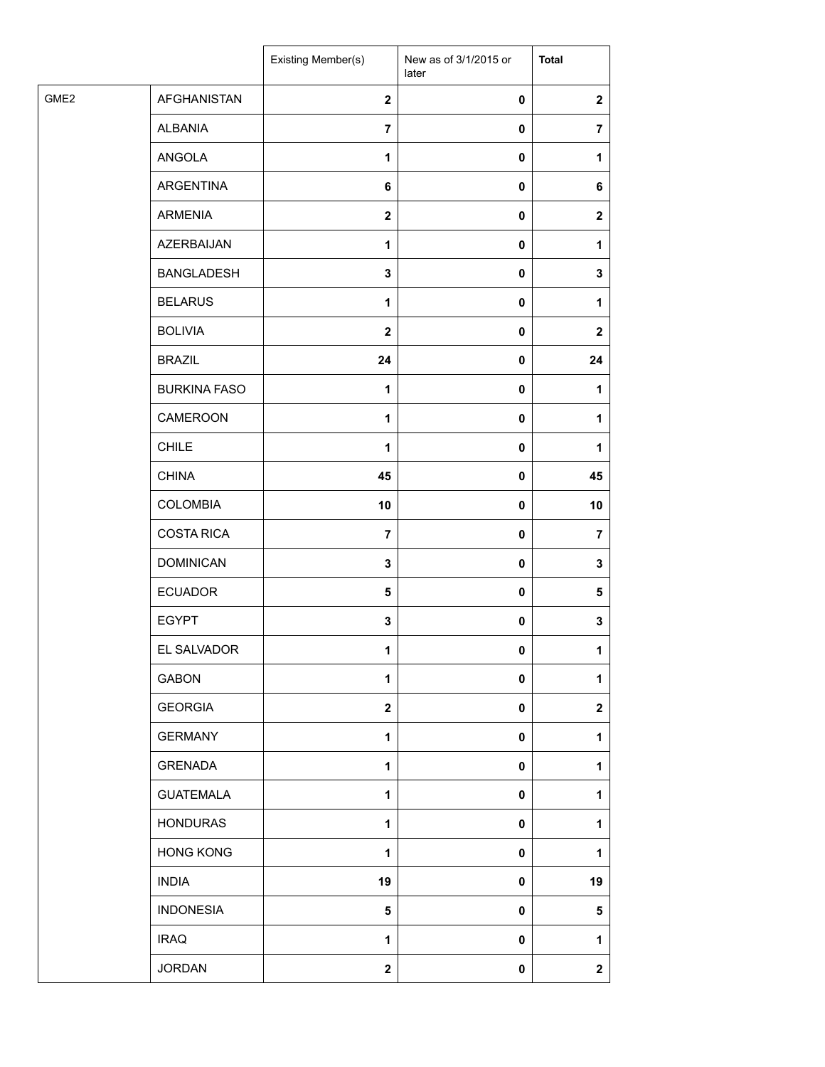|      |                     | Existing Member(s) | New as of 3/1/2015 or<br>later | <b>Total</b>   |
|------|---------------------|--------------------|--------------------------------|----------------|
| GME2 | <b>AFGHANISTAN</b>  | $\mathbf{2}$       | $\pmb{0}$                      | $\mathbf{2}$   |
|      | <b>ALBANIA</b>      | $\overline{7}$     | $\pmb{0}$                      | $\overline{7}$ |
|      | ANGOLA              | $\mathbf{1}$       | $\pmb{0}$                      | 1              |
|      | ARGENTINA           | 6                  | $\pmb{0}$                      | 6              |
|      | <b>ARMENIA</b>      | $\mathbf{2}$       | $\pmb{0}$                      | $\mathbf{2}$   |
|      | AZERBAIJAN          | $\mathbf{1}$       | $\pmb{0}$                      | 1              |
|      | <b>BANGLADESH</b>   | $\mathbf 3$        | $\pmb{0}$                      | 3              |
|      | <b>BELARUS</b>      | 1                  | $\pmb{0}$                      | 1              |
|      | <b>BOLIVIA</b>      | $\mathbf{2}$       | $\pmb{0}$                      | $\mathbf{2}$   |
|      | <b>BRAZIL</b>       | 24                 | 0                              | 24             |
|      | <b>BURKINA FASO</b> | 1                  | $\pmb{0}$                      | 1              |
|      | CAMEROON            | $\mathbf{1}$       | $\pmb{0}$                      | 1              |
|      | <b>CHILE</b>        | $\mathbf{1}$       | $\pmb{0}$                      | 1              |
|      | <b>CHINA</b>        | 45                 | $\pmb{0}$                      | 45             |
|      | <b>COLOMBIA</b>     | 10                 | $\pmb{0}$                      | 10             |
|      | <b>COSTA RICA</b>   | $\overline{7}$     | $\pmb{0}$                      | $\overline{7}$ |
|      | <b>DOMINICAN</b>    | $\mathbf 3$        | $\pmb{0}$                      | $\mathbf 3$    |
|      | <b>ECUADOR</b>      | 5                  | $\pmb{0}$                      | 5              |
|      | <b>EGYPT</b>        | 3                  | $\pmb{0}$                      | 3              |
|      | EL SALVADOR         | 1                  | 0                              | 1              |
|      | <b>GABON</b>        | $\mathbf{1}$       | $\pmb{0}$                      | 1              |
|      | <b>GEORGIA</b>      | $\mathbf 2$        | $\pmb{0}$                      | $\mathbf{2}$   |
|      | <b>GERMANY</b>      | 1                  | $\pmb{0}$                      | 1              |
|      | <b>GRENADA</b>      | $\mathbf{1}$       | $\pmb{0}$                      | 1              |
|      | <b>GUATEMALA</b>    | $\mathbf{1}$       | $\pmb{0}$                      | 1              |
|      | <b>HONDURAS</b>     | 1                  | $\pmb{0}$                      | 1              |
|      | <b>HONG KONG</b>    | $\mathbf{1}$       | $\pmb{0}$                      | 1              |
|      | <b>INDIA</b>        | 19                 | $\pmb{0}$                      | 19             |
|      | <b>INDONESIA</b>    | ${\bf 5}$          | $\pmb{0}$                      | 5              |
|      | <b>IRAQ</b>         | $\mathbf{1}$       | $\pmb{0}$                      | 1              |
|      | <b>JORDAN</b>       | $\mathbf 2$        | $\pmb{0}$                      | $\mathbf 2$    |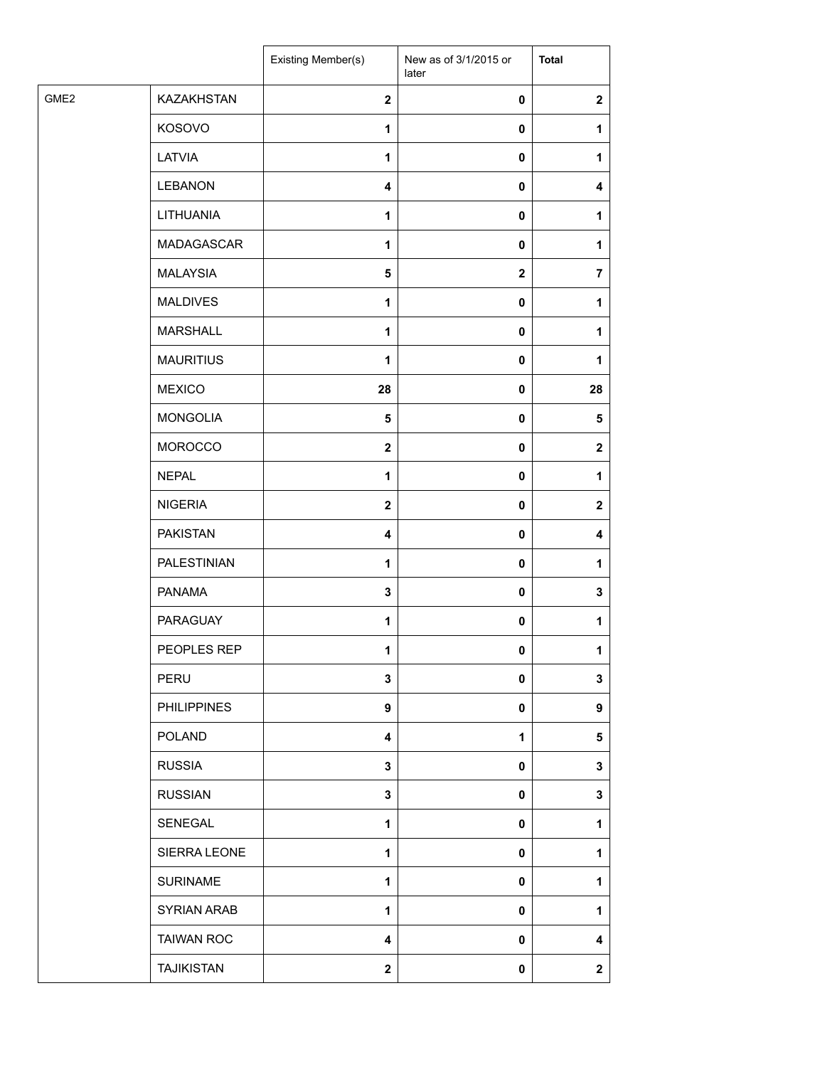| GME <sub>2</sub><br><b>KAZAKHSTAN</b><br>$\mathbf{2}$<br>$\mathbf{2}$<br>0<br>KOSOVO<br>1<br>0<br>1<br>LATVIA<br>1<br>0<br>1<br><b>LEBANON</b><br>$\overline{4}$<br>0<br>4<br>LITHUANIA<br>$\mathbf{1}$<br>0<br>1<br>MADAGASCAR<br>1<br>0<br>1<br><b>MALAYSIA</b><br>5<br>$\mathbf 2$<br>$\overline{7}$<br><b>MALDIVES</b><br>1<br>0<br>1<br><b>MARSHALL</b><br>$\mathbf{1}$<br>0<br>1<br><b>MAURITIUS</b><br>1<br>0<br>1<br><b>MEXICO</b><br>28<br>0<br>28<br><b>MONGOLIA</b><br>5<br>0<br>5<br><b>MOROCCO</b><br>$\mathbf{2}$<br>0<br>$\mathbf{2}$<br><b>NEPAL</b><br>$\mathbf{1}$<br>0<br>1<br><b>NIGERIA</b><br>$\mathbf{2}$<br>0<br>$\mathbf{2}$<br><b>PAKISTAN</b><br>$\overline{\mathbf{4}}$<br>0<br>4<br>PALESTINIAN<br>$\mathbf{1}$<br>0<br>1<br><b>PANAMA</b><br>$\mathbf 3$<br>0<br>3<br><b>PARAGUAY</b><br>$\mathbf{1}$<br>0<br>1<br>PEOPLES REP<br>1<br>$\mathbf{0}$<br>1<br>PERU<br>3<br>0<br>3<br><b>PHILIPPINES</b><br>$\boldsymbol{9}$<br>0<br>9<br><b>POLAND</b><br>$\mathbf{1}$<br>5<br>4<br><b>RUSSIA</b><br>$\mathbf 3$<br>0<br>3<br><b>RUSSIAN</b><br>$\mathbf 3$<br>0<br>3<br>SENEGAL<br>1<br>0<br>1<br>SIERRA LEONE<br>1<br>0<br>1<br><b>SURINAME</b><br>1<br>0<br>1<br><b>SYRIAN ARAB</b><br>$\mathbf{1}$<br>0<br>1<br><b>TAIWAN ROC</b><br>$\overline{\mathbf{4}}$<br>0<br>4<br><b>TAJIKISTAN</b><br>$\mathbf{2}$<br>0<br>$\mathbf{2}$ |  | Existing Member(s) | New as of 3/1/2015 or<br>later | <b>Total</b> |
|------------------------------------------------------------------------------------------------------------------------------------------------------------------------------------------------------------------------------------------------------------------------------------------------------------------------------------------------------------------------------------------------------------------------------------------------------------------------------------------------------------------------------------------------------------------------------------------------------------------------------------------------------------------------------------------------------------------------------------------------------------------------------------------------------------------------------------------------------------------------------------------------------------------------------------------------------------------------------------------------------------------------------------------------------------------------------------------------------------------------------------------------------------------------------------------------------------------------------------------------------------------------------------------------------------------------------------------------------------------|--|--------------------|--------------------------------|--------------|
|                                                                                                                                                                                                                                                                                                                                                                                                                                                                                                                                                                                                                                                                                                                                                                                                                                                                                                                                                                                                                                                                                                                                                                                                                                                                                                                                                                  |  |                    |                                |              |
|                                                                                                                                                                                                                                                                                                                                                                                                                                                                                                                                                                                                                                                                                                                                                                                                                                                                                                                                                                                                                                                                                                                                                                                                                                                                                                                                                                  |  |                    |                                |              |
|                                                                                                                                                                                                                                                                                                                                                                                                                                                                                                                                                                                                                                                                                                                                                                                                                                                                                                                                                                                                                                                                                                                                                                                                                                                                                                                                                                  |  |                    |                                |              |
|                                                                                                                                                                                                                                                                                                                                                                                                                                                                                                                                                                                                                                                                                                                                                                                                                                                                                                                                                                                                                                                                                                                                                                                                                                                                                                                                                                  |  |                    |                                |              |
|                                                                                                                                                                                                                                                                                                                                                                                                                                                                                                                                                                                                                                                                                                                                                                                                                                                                                                                                                                                                                                                                                                                                                                                                                                                                                                                                                                  |  |                    |                                |              |
|                                                                                                                                                                                                                                                                                                                                                                                                                                                                                                                                                                                                                                                                                                                                                                                                                                                                                                                                                                                                                                                                                                                                                                                                                                                                                                                                                                  |  |                    |                                |              |
|                                                                                                                                                                                                                                                                                                                                                                                                                                                                                                                                                                                                                                                                                                                                                                                                                                                                                                                                                                                                                                                                                                                                                                                                                                                                                                                                                                  |  |                    |                                |              |
|                                                                                                                                                                                                                                                                                                                                                                                                                                                                                                                                                                                                                                                                                                                                                                                                                                                                                                                                                                                                                                                                                                                                                                                                                                                                                                                                                                  |  |                    |                                |              |
|                                                                                                                                                                                                                                                                                                                                                                                                                                                                                                                                                                                                                                                                                                                                                                                                                                                                                                                                                                                                                                                                                                                                                                                                                                                                                                                                                                  |  |                    |                                |              |
|                                                                                                                                                                                                                                                                                                                                                                                                                                                                                                                                                                                                                                                                                                                                                                                                                                                                                                                                                                                                                                                                                                                                                                                                                                                                                                                                                                  |  |                    |                                |              |
|                                                                                                                                                                                                                                                                                                                                                                                                                                                                                                                                                                                                                                                                                                                                                                                                                                                                                                                                                                                                                                                                                                                                                                                                                                                                                                                                                                  |  |                    |                                |              |
|                                                                                                                                                                                                                                                                                                                                                                                                                                                                                                                                                                                                                                                                                                                                                                                                                                                                                                                                                                                                                                                                                                                                                                                                                                                                                                                                                                  |  |                    |                                |              |
|                                                                                                                                                                                                                                                                                                                                                                                                                                                                                                                                                                                                                                                                                                                                                                                                                                                                                                                                                                                                                                                                                                                                                                                                                                                                                                                                                                  |  |                    |                                |              |
|                                                                                                                                                                                                                                                                                                                                                                                                                                                                                                                                                                                                                                                                                                                                                                                                                                                                                                                                                                                                                                                                                                                                                                                                                                                                                                                                                                  |  |                    |                                |              |
|                                                                                                                                                                                                                                                                                                                                                                                                                                                                                                                                                                                                                                                                                                                                                                                                                                                                                                                                                                                                                                                                                                                                                                                                                                                                                                                                                                  |  |                    |                                |              |
|                                                                                                                                                                                                                                                                                                                                                                                                                                                                                                                                                                                                                                                                                                                                                                                                                                                                                                                                                                                                                                                                                                                                                                                                                                                                                                                                                                  |  |                    |                                |              |
|                                                                                                                                                                                                                                                                                                                                                                                                                                                                                                                                                                                                                                                                                                                                                                                                                                                                                                                                                                                                                                                                                                                                                                                                                                                                                                                                                                  |  |                    |                                |              |
|                                                                                                                                                                                                                                                                                                                                                                                                                                                                                                                                                                                                                                                                                                                                                                                                                                                                                                                                                                                                                                                                                                                                                                                                                                                                                                                                                                  |  |                    |                                |              |
|                                                                                                                                                                                                                                                                                                                                                                                                                                                                                                                                                                                                                                                                                                                                                                                                                                                                                                                                                                                                                                                                                                                                                                                                                                                                                                                                                                  |  |                    |                                |              |
|                                                                                                                                                                                                                                                                                                                                                                                                                                                                                                                                                                                                                                                                                                                                                                                                                                                                                                                                                                                                                                                                                                                                                                                                                                                                                                                                                                  |  |                    |                                |              |
|                                                                                                                                                                                                                                                                                                                                                                                                                                                                                                                                                                                                                                                                                                                                                                                                                                                                                                                                                                                                                                                                                                                                                                                                                                                                                                                                                                  |  |                    |                                |              |
|                                                                                                                                                                                                                                                                                                                                                                                                                                                                                                                                                                                                                                                                                                                                                                                                                                                                                                                                                                                                                                                                                                                                                                                                                                                                                                                                                                  |  |                    |                                |              |
|                                                                                                                                                                                                                                                                                                                                                                                                                                                                                                                                                                                                                                                                                                                                                                                                                                                                                                                                                                                                                                                                                                                                                                                                                                                                                                                                                                  |  |                    |                                |              |
|                                                                                                                                                                                                                                                                                                                                                                                                                                                                                                                                                                                                                                                                                                                                                                                                                                                                                                                                                                                                                                                                                                                                                                                                                                                                                                                                                                  |  |                    |                                |              |
|                                                                                                                                                                                                                                                                                                                                                                                                                                                                                                                                                                                                                                                                                                                                                                                                                                                                                                                                                                                                                                                                                                                                                                                                                                                                                                                                                                  |  |                    |                                |              |
|                                                                                                                                                                                                                                                                                                                                                                                                                                                                                                                                                                                                                                                                                                                                                                                                                                                                                                                                                                                                                                                                                                                                                                                                                                                                                                                                                                  |  |                    |                                |              |
|                                                                                                                                                                                                                                                                                                                                                                                                                                                                                                                                                                                                                                                                                                                                                                                                                                                                                                                                                                                                                                                                                                                                                                                                                                                                                                                                                                  |  |                    |                                |              |
|                                                                                                                                                                                                                                                                                                                                                                                                                                                                                                                                                                                                                                                                                                                                                                                                                                                                                                                                                                                                                                                                                                                                                                                                                                                                                                                                                                  |  |                    |                                |              |
|                                                                                                                                                                                                                                                                                                                                                                                                                                                                                                                                                                                                                                                                                                                                                                                                                                                                                                                                                                                                                                                                                                                                                                                                                                                                                                                                                                  |  |                    |                                |              |
|                                                                                                                                                                                                                                                                                                                                                                                                                                                                                                                                                                                                                                                                                                                                                                                                                                                                                                                                                                                                                                                                                                                                                                                                                                                                                                                                                                  |  |                    |                                |              |
|                                                                                                                                                                                                                                                                                                                                                                                                                                                                                                                                                                                                                                                                                                                                                                                                                                                                                                                                                                                                                                                                                                                                                                                                                                                                                                                                                                  |  |                    |                                |              |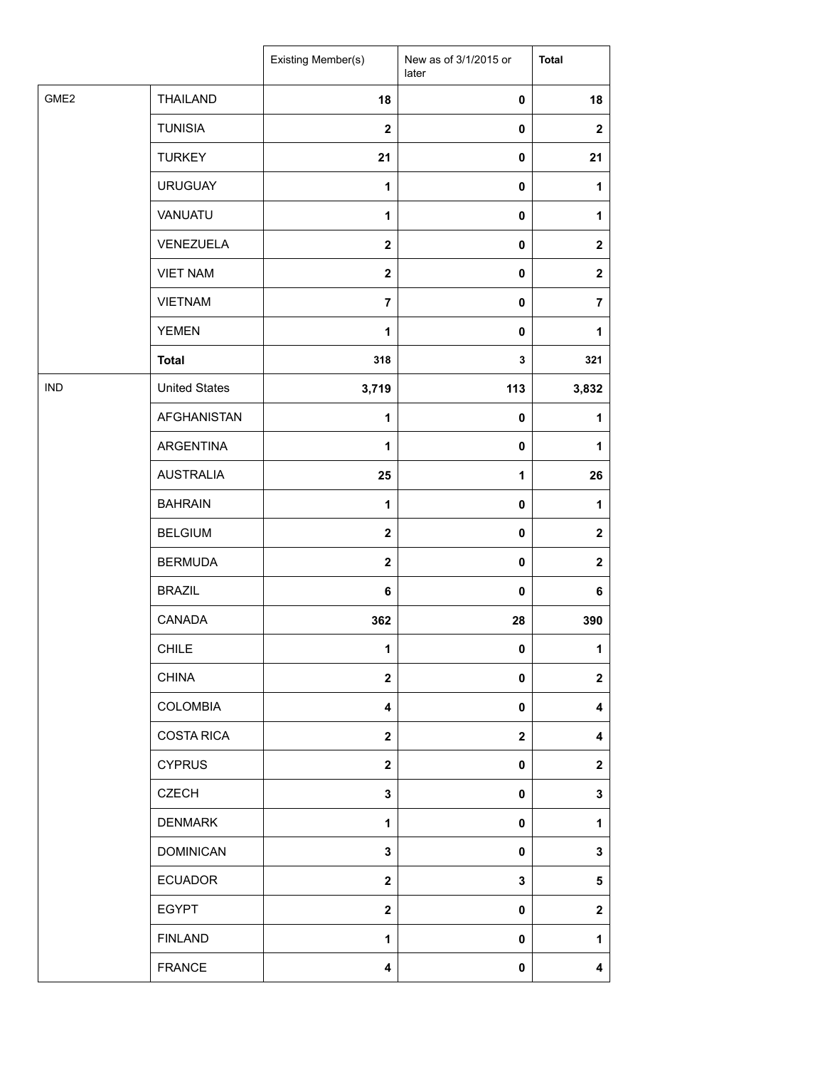|                  |                      | Existing Member(s)      | New as of 3/1/2015 or<br>later | <b>Total</b>     |
|------------------|----------------------|-------------------------|--------------------------------|------------------|
| GME <sub>2</sub> | <b>THAILAND</b>      | 18                      | $\pmb{0}$                      | 18               |
|                  | <b>TUNISIA</b>       | $\mathbf{2}$            | 0                              | $\mathbf{2}$     |
|                  | <b>TURKEY</b>        | 21                      | 0                              | 21               |
|                  | <b>URUGUAY</b>       | 1                       | 0                              | $\mathbf{1}$     |
|                  | VANUATU              | 1                       | 0                              | 1                |
|                  | VENEZUELA            | $\mathbf{2}$            | 0                              | $\boldsymbol{2}$ |
|                  | <b>VIET NAM</b>      | $\overline{2}$          | $\pmb{0}$                      | $\mathbf 2$      |
|                  | <b>VIETNAM</b>       | $\overline{7}$          | 0                              | $\overline{7}$   |
|                  | <b>YEMEN</b>         | $\mathbf{1}$            | 0                              | 1                |
|                  | <b>Total</b>         | 318                     | 3                              | 321              |
| <b>IND</b>       | <b>United States</b> | 3,719                   | 113                            | 3,832            |
|                  | <b>AFGHANISTAN</b>   | $\mathbf{1}$            | $\pmb{0}$                      | 1                |
|                  | ARGENTINA            | 1                       | 0                              | 1                |
|                  | <b>AUSTRALIA</b>     | 25                      | $\mathbf 1$                    | 26               |
|                  | <b>BAHRAIN</b>       | 1                       | $\pmb{0}$                      | $\mathbf{1}$     |
|                  | <b>BELGIUM</b>       | $\overline{2}$          | 0                              | $\boldsymbol{2}$ |
|                  | <b>BERMUDA</b>       | $\mathbf{2}$            | $\pmb{0}$                      | $\mathbf 2$      |
|                  | <b>BRAZIL</b>        | 6                       | 0                              | 6                |
|                  | CANADA               | 362                     | 28                             | 390              |
|                  | <b>CHILE</b>         | $\mathbf{1}$            | $\mathbf 0$                    | 1                |
|                  | <b>CHINA</b>         | $\overline{\mathbf{2}}$ | 0                              | $\mathbf{2}$     |
|                  | <b>COLOMBIA</b>      | $\overline{\mathbf{4}}$ | 0                              | 4                |
|                  | <b>COSTA RICA</b>    | $\mathbf{2}$            | $\mathbf 2$                    | 4                |
|                  | <b>CYPRUS</b>        | $\mathbf{2}$            | 0                              | $\mathbf 2$      |
|                  | <b>CZECH</b>         | 3                       | 0                              | 3                |
|                  | <b>DENMARK</b>       | 1                       | 0                              | $\mathbf{1}$     |
|                  | <b>DOMINICAN</b>     | $\mathbf{3}$            | 0                              | 3                |
|                  | <b>ECUADOR</b>       | $\mathbf{2}$            | 3                              | 5                |
|                  | <b>EGYPT</b>         | $\mathbf{2}$            | 0                              | $\mathbf 2$      |
|                  | <b>FINLAND</b>       | 1                       | 0                              | 1                |
|                  | <b>FRANCE</b>        | 4                       | 0                              | 4                |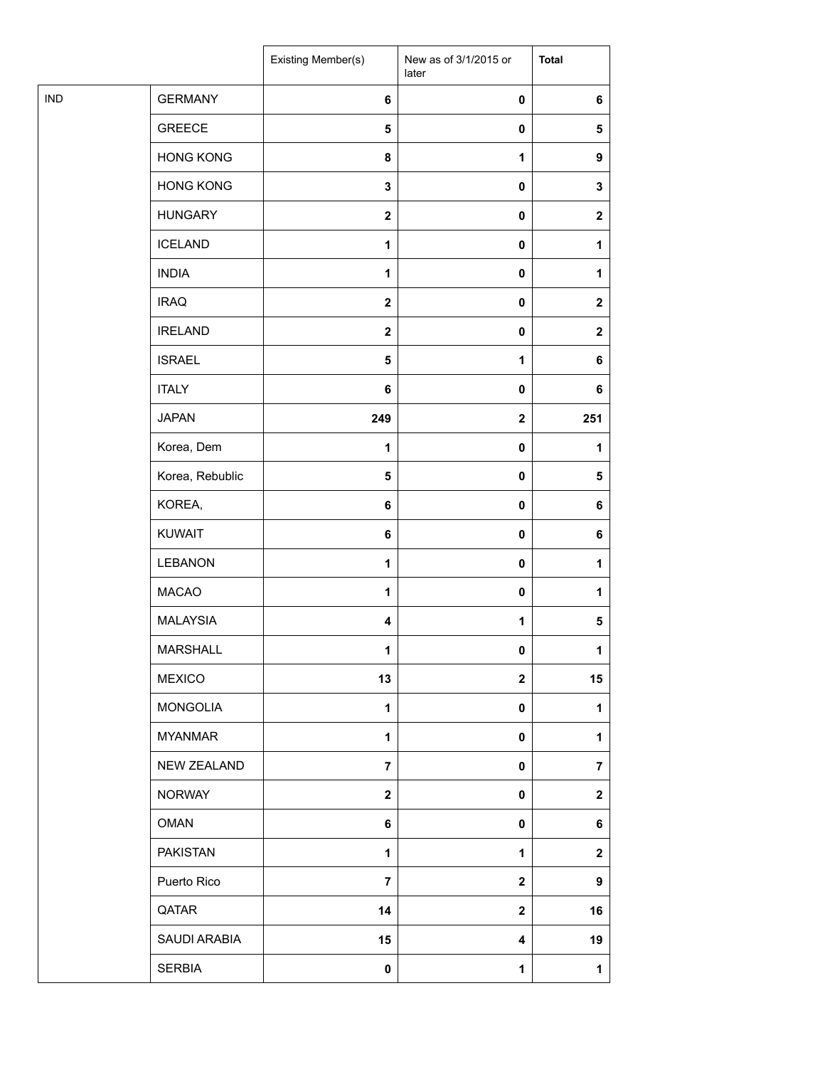|            |                  | <b>Existing Member(s)</b> | New as of 3/1/2015 or<br>later | <b>Total</b>     |
|------------|------------------|---------------------------|--------------------------------|------------------|
| <b>IND</b> | <b>GERMANY</b>   | 6                         | $\pmb{0}$                      | 6                |
|            | <b>GREECE</b>    | $\sqrt{5}$                | $\pmb{0}$                      | $\sqrt{5}$       |
|            | <b>HONG KONG</b> | 8                         | $\mathbf{1}$                   | 9                |
|            | <b>HONG KONG</b> | $\mathbf 3$               | $\pmb{0}$                      | 3                |
|            | <b>HUNGARY</b>   | $\boldsymbol{2}$          | $\pmb{0}$                      | $\boldsymbol{2}$ |
|            | <b>ICELAND</b>   | $\mathbf{1}$              | $\pmb{0}$                      | 1                |
|            | <b>INDIA</b>     | $\mathbf{1}$              | $\pmb{0}$                      | 1                |
|            | <b>IRAQ</b>      | $\mathbf 2$               | $\pmb{0}$                      | $\mathbf{2}$     |
|            | <b>IRELAND</b>   | $\mathbf 2$               | $\pmb{0}$                      | $\mathbf{2}$     |
|            | <b>ISRAEL</b>    | $\overline{\mathbf{5}}$   | 1                              | 6                |
|            | <b>ITALY</b>     | 6                         | $\pmb{0}$                      | 6                |
|            | <b>JAPAN</b>     | 249                       | $\mathbf{2}$                   | 251              |
|            | Korea, Dem       | 1                         | $\pmb{0}$                      | 1                |
|            | Korea, Rebublic  | $\overline{\mathbf{5}}$   | $\pmb{0}$                      | 5                |
|            | KOREA,           | $\bf 6$                   | $\pmb{0}$                      | 6                |
|            | <b>KUWAIT</b>    | $\bf 6$                   | $\pmb{0}$                      | 6                |
|            | LEBANON          | $\mathbf{1}$              | $\pmb{0}$                      | 1                |
|            | <b>MACAO</b>     | 1                         | $\pmb{0}$                      | 1                |
|            | <b>MALAYSIA</b>  | 4                         | 1                              | 5                |
|            | <b>MARSHALL</b>  | 1                         | 0                              | 1                |
|            | <b>MEXICO</b>    | 13                        | $\boldsymbol{2}$               | 15               |
|            | <b>MONGOLIA</b>  | 1                         | $\pmb{0}$                      | 1                |
|            | <b>MYANMAR</b>   | $\mathbf{1}$              | $\pmb{0}$                      | 1                |
|            | NEW ZEALAND      | $\overline{7}$            | $\pmb{0}$                      | $\overline{7}$   |
|            | <b>NORWAY</b>    | $\mathbf 2$               | $\pmb{0}$                      | $\mathbf 2$      |
|            | <b>OMAN</b>      | $\bf 6$                   | $\mathbf 0$                    | 6                |
|            | <b>PAKISTAN</b>  | 1                         | 1                              | $\mathbf{2}$     |
|            | Puerto Rico      | $\overline{7}$            | $\mathbf 2$                    | 9                |
|            | QATAR            | 14                        | $\mathbf{2}$                   | 16               |
|            | SAUDI ARABIA     | 15                        | 4                              | 19               |
|            | <b>SERBIA</b>    | $\pmb{0}$                 | $\mathbf{1}$                   | 1                |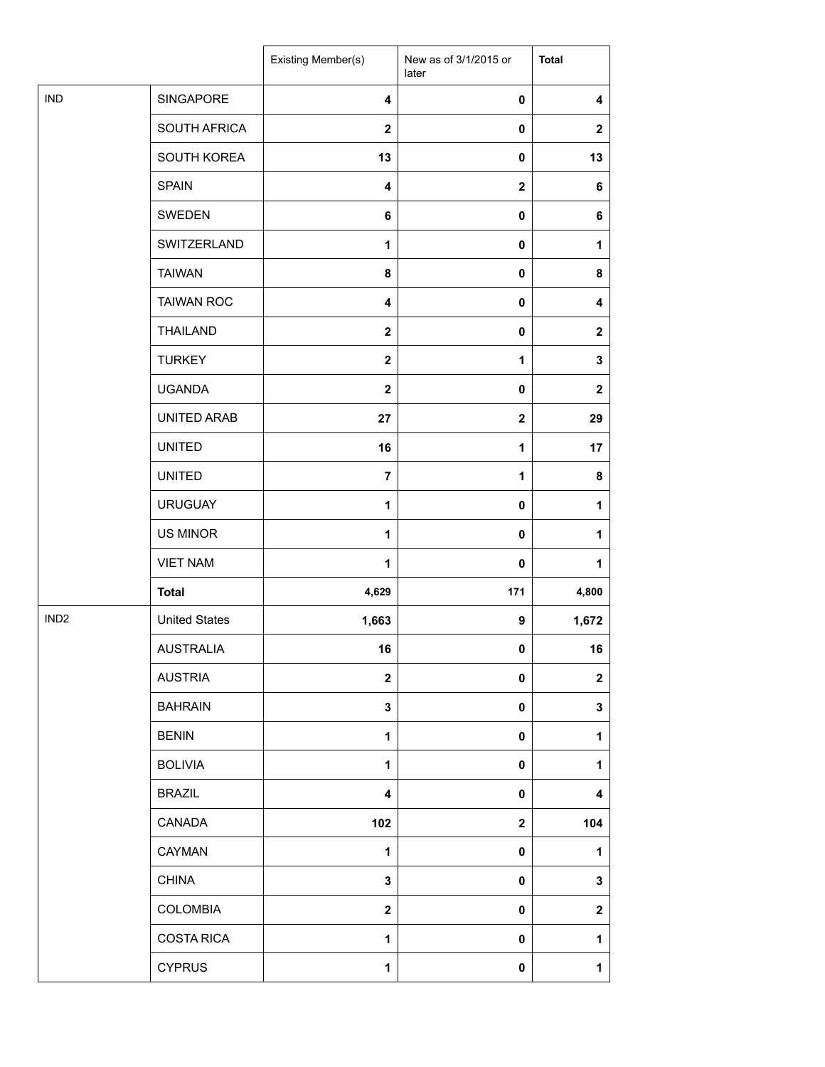|                  |                      | Existing Member(s)      | New as of 3/1/2015 or<br>later | <b>Total</b>            |
|------------------|----------------------|-------------------------|--------------------------------|-------------------------|
| <b>IND</b>       | SINGAPORE            | $\overline{\mathbf{4}}$ | 0                              | $\overline{\mathbf{4}}$ |
|                  | SOUTH AFRICA         | $\overline{2}$          | 0                              | $\boldsymbol{2}$        |
|                  | SOUTH KOREA          | 13                      | 0                              | 13                      |
|                  | <b>SPAIN</b>         | $\overline{\mathbf{4}}$ | $\mathbf 2$                    | 6                       |
|                  | SWEDEN               | 6                       | 0                              | 6                       |
|                  | SWITZERLAND          | 1                       | 0                              | 1                       |
|                  | <b>TAIWAN</b>        | 8                       | 0                              | 8                       |
|                  | <b>TAIWAN ROC</b>    | 4                       | 0                              | 4                       |
|                  | <b>THAILAND</b>      | $\mathbf{2}$            | 0                              | $\mathbf 2$             |
|                  | <b>TURKEY</b>        | $\mathbf{2}$            | 1                              | $\mathbf 3$             |
|                  | <b>UGANDA</b>        | $\mathbf{2}$            | 0                              | $\boldsymbol{2}$        |
|                  | UNITED ARAB          | 27                      | $\mathbf 2$                    | 29                      |
|                  | <b>UNITED</b>        | 16                      | 1                              | 17                      |
|                  | <b>UNITED</b>        | $\overline{7}$          | 1                              | 8                       |
|                  | <b>URUGUAY</b>       | 1                       | 0                              | $\mathbf{1}$            |
|                  | <b>US MINOR</b>      | $\mathbf{1}$            | 0                              | $\mathbf{1}$            |
|                  | <b>VIET NAM</b>      | $\mathbf{1}$            | 0                              | 1                       |
|                  | <b>Total</b>         | 4,629                   | 171                            | 4,800                   |
| IND <sub>2</sub> | <b>United States</b> | 1,663                   | 9                              | 1,672                   |
|                  | <b>AUSTRALIA</b>     | 16                      | $\mathbf 0$                    | 16                      |
|                  | <b>AUSTRIA</b>       | $\overline{\mathbf{2}}$ | 0                              | $\boldsymbol{2}$        |
|                  | <b>BAHRAIN</b>       | 3                       | 0                              | 3                       |
|                  | <b>BENIN</b>         | $\mathbf{1}$            | 0                              | 1                       |
|                  | <b>BOLIVIA</b>       | 1                       | 0                              | 1                       |
|                  | <b>BRAZIL</b>        | 4                       | 0                              | 4                       |
|                  | CANADA               | 102                     | $\mathbf{2}$                   | 104                     |
|                  | CAYMAN               | $\mathbf{1}$            | 0                              | 1                       |
|                  | <b>CHINA</b>         | 3                       | 0                              | 3                       |
|                  | COLOMBIA             | $\mathbf{2}$            | 0                              | $\mathbf 2$             |
|                  | <b>COSTA RICA</b>    | 1                       | 0                              | 1                       |
|                  | <b>CYPRUS</b>        | 1                       | 0                              | $\mathbf{1}$            |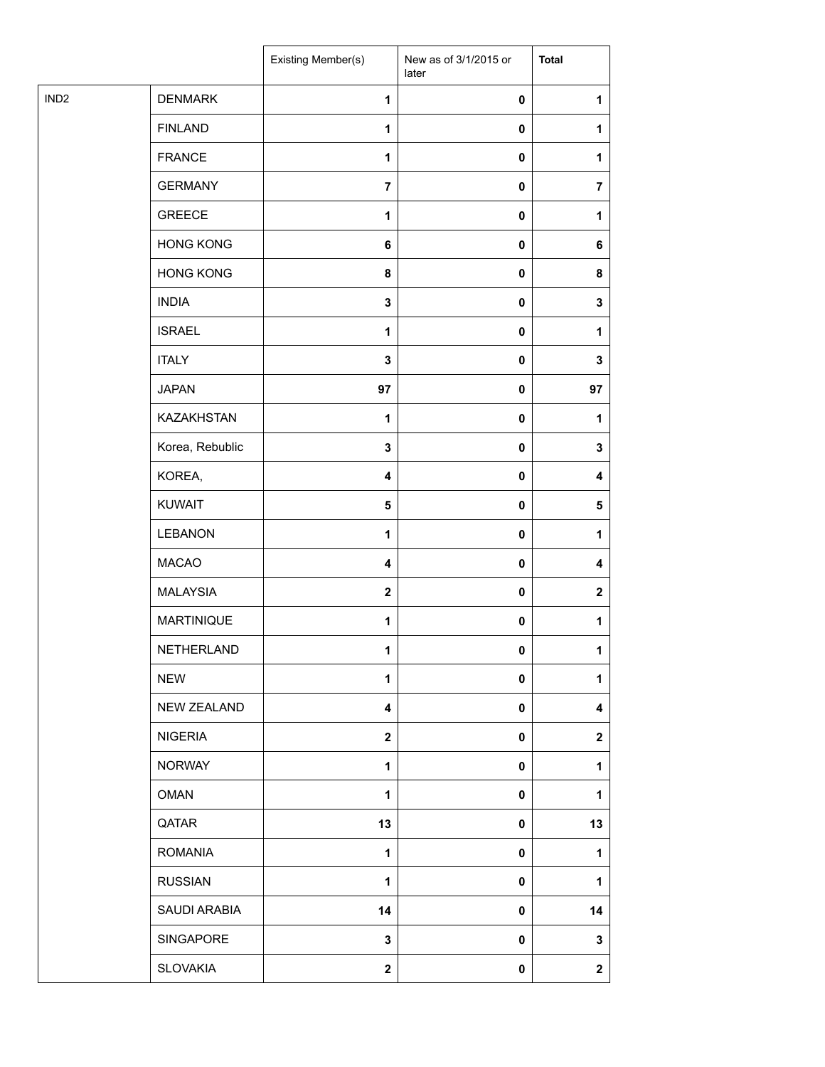| IND <sub>2</sub><br><b>DENMARK</b><br>1<br>$\pmb{0}$<br>1<br><b>FINLAND</b><br>$\mathbf{1}$<br>$\pmb{0}$<br>1<br><b>FRANCE</b><br>1<br>$\pmb{0}$<br>1<br><b>GERMANY</b><br>$\overline{7}$<br>$\pmb{0}$<br>$\overline{7}$<br><b>GREECE</b><br>$\mathbf{1}$<br>$\pmb{0}$<br>1<br><b>HONG KONG</b><br>6<br>$\pmb{0}$<br>6<br><b>HONG KONG</b><br>8<br>$\pmb{0}$<br>8<br><b>INDIA</b><br>$\mathbf 3$<br>$\pmb{0}$<br>3<br><b>ISRAEL</b><br>1<br>$\pmb{0}$<br>1<br><b>ITALY</b><br>$\mathbf 3$<br>$\pmb{0}$<br>3<br><b>JAPAN</b><br>97<br>97<br>$\pmb{0}$<br><b>KAZAKHSTAN</b><br>1<br>$\pmb{0}$<br>1<br>Korea, Rebublic<br>$\mathbf 3$<br>$\pmb{0}$<br>3<br>KOREA,<br>4<br>$\pmb{0}$<br>4<br><b>KUWAIT</b><br>$\overline{\mathbf{5}}$<br>$\pmb{0}$<br>$\sqrt{5}$<br><b>LEBANON</b><br>1<br>$\pmb{0}$<br>1<br><b>MACAO</b><br>$\overline{\mathbf{4}}$<br>$\pmb{0}$<br>4<br><b>MALAYSIA</b><br>$\boldsymbol{2}$<br>$\pmb{0}$<br>$\mathbf 2$<br><b>MARTINIQUE</b><br>$\mathbf{1}$<br>$\pmb{0}$<br>1<br>NETHERLAND<br>1<br>0<br>1<br><b>NEW</b><br>1<br>$\pmb{0}$<br>1<br><b>NEW ZEALAND</b><br>4<br>$\pmb{0}$<br>4<br><b>NIGERIA</b><br>$\mathbf{2}$<br>$\pmb{0}$<br>$\mathbf{2}$<br><b>NORWAY</b><br>$\mathbf{1}$<br>$\pmb{0}$<br>1<br><b>OMAN</b><br>1<br>$\pmb{0}$<br>1<br>QATAR<br>13<br>$\mathbf 0$<br>13<br><b>ROMANIA</b><br>1<br>$\pmb{0}$<br>1<br><b>RUSSIAN</b><br>$\mathbf{1}$<br>$\pmb{0}$<br>1<br>SAUDI ARABIA<br>14<br>$\pmb{0}$<br>14<br>SINGAPORE<br>3<br>$\pmb{0}$<br>3<br><b>SLOVAKIA</b><br>$\boldsymbol{2}$<br>$\mathbf{2}$<br>0 |  | Existing Member(s) | New as of 3/1/2015 or<br>later | <b>Total</b> |
|-----------------------------------------------------------------------------------------------------------------------------------------------------------------------------------------------------------------------------------------------------------------------------------------------------------------------------------------------------------------------------------------------------------------------------------------------------------------------------------------------------------------------------------------------------------------------------------------------------------------------------------------------------------------------------------------------------------------------------------------------------------------------------------------------------------------------------------------------------------------------------------------------------------------------------------------------------------------------------------------------------------------------------------------------------------------------------------------------------------------------------------------------------------------------------------------------------------------------------------------------------------------------------------------------------------------------------------------------------------------------------------------------------------------------------------------------------------------------------------------------------------------------------------------------|--|--------------------|--------------------------------|--------------|
|                                                                                                                                                                                                                                                                                                                                                                                                                                                                                                                                                                                                                                                                                                                                                                                                                                                                                                                                                                                                                                                                                                                                                                                                                                                                                                                                                                                                                                                                                                                                               |  |                    |                                |              |
|                                                                                                                                                                                                                                                                                                                                                                                                                                                                                                                                                                                                                                                                                                                                                                                                                                                                                                                                                                                                                                                                                                                                                                                                                                                                                                                                                                                                                                                                                                                                               |  |                    |                                |              |
|                                                                                                                                                                                                                                                                                                                                                                                                                                                                                                                                                                                                                                                                                                                                                                                                                                                                                                                                                                                                                                                                                                                                                                                                                                                                                                                                                                                                                                                                                                                                               |  |                    |                                |              |
|                                                                                                                                                                                                                                                                                                                                                                                                                                                                                                                                                                                                                                                                                                                                                                                                                                                                                                                                                                                                                                                                                                                                                                                                                                                                                                                                                                                                                                                                                                                                               |  |                    |                                |              |
|                                                                                                                                                                                                                                                                                                                                                                                                                                                                                                                                                                                                                                                                                                                                                                                                                                                                                                                                                                                                                                                                                                                                                                                                                                                                                                                                                                                                                                                                                                                                               |  |                    |                                |              |
|                                                                                                                                                                                                                                                                                                                                                                                                                                                                                                                                                                                                                                                                                                                                                                                                                                                                                                                                                                                                                                                                                                                                                                                                                                                                                                                                                                                                                                                                                                                                               |  |                    |                                |              |
|                                                                                                                                                                                                                                                                                                                                                                                                                                                                                                                                                                                                                                                                                                                                                                                                                                                                                                                                                                                                                                                                                                                                                                                                                                                                                                                                                                                                                                                                                                                                               |  |                    |                                |              |
|                                                                                                                                                                                                                                                                                                                                                                                                                                                                                                                                                                                                                                                                                                                                                                                                                                                                                                                                                                                                                                                                                                                                                                                                                                                                                                                                                                                                                                                                                                                                               |  |                    |                                |              |
|                                                                                                                                                                                                                                                                                                                                                                                                                                                                                                                                                                                                                                                                                                                                                                                                                                                                                                                                                                                                                                                                                                                                                                                                                                                                                                                                                                                                                                                                                                                                               |  |                    |                                |              |
|                                                                                                                                                                                                                                                                                                                                                                                                                                                                                                                                                                                                                                                                                                                                                                                                                                                                                                                                                                                                                                                                                                                                                                                                                                                                                                                                                                                                                                                                                                                                               |  |                    |                                |              |
|                                                                                                                                                                                                                                                                                                                                                                                                                                                                                                                                                                                                                                                                                                                                                                                                                                                                                                                                                                                                                                                                                                                                                                                                                                                                                                                                                                                                                                                                                                                                               |  |                    |                                |              |
|                                                                                                                                                                                                                                                                                                                                                                                                                                                                                                                                                                                                                                                                                                                                                                                                                                                                                                                                                                                                                                                                                                                                                                                                                                                                                                                                                                                                                                                                                                                                               |  |                    |                                |              |
|                                                                                                                                                                                                                                                                                                                                                                                                                                                                                                                                                                                                                                                                                                                                                                                                                                                                                                                                                                                                                                                                                                                                                                                                                                                                                                                                                                                                                                                                                                                                               |  |                    |                                |              |
|                                                                                                                                                                                                                                                                                                                                                                                                                                                                                                                                                                                                                                                                                                                                                                                                                                                                                                                                                                                                                                                                                                                                                                                                                                                                                                                                                                                                                                                                                                                                               |  |                    |                                |              |
|                                                                                                                                                                                                                                                                                                                                                                                                                                                                                                                                                                                                                                                                                                                                                                                                                                                                                                                                                                                                                                                                                                                                                                                                                                                                                                                                                                                                                                                                                                                                               |  |                    |                                |              |
|                                                                                                                                                                                                                                                                                                                                                                                                                                                                                                                                                                                                                                                                                                                                                                                                                                                                                                                                                                                                                                                                                                                                                                                                                                                                                                                                                                                                                                                                                                                                               |  |                    |                                |              |
|                                                                                                                                                                                                                                                                                                                                                                                                                                                                                                                                                                                                                                                                                                                                                                                                                                                                                                                                                                                                                                                                                                                                                                                                                                                                                                                                                                                                                                                                                                                                               |  |                    |                                |              |
|                                                                                                                                                                                                                                                                                                                                                                                                                                                                                                                                                                                                                                                                                                                                                                                                                                                                                                                                                                                                                                                                                                                                                                                                                                                                                                                                                                                                                                                                                                                                               |  |                    |                                |              |
|                                                                                                                                                                                                                                                                                                                                                                                                                                                                                                                                                                                                                                                                                                                                                                                                                                                                                                                                                                                                                                                                                                                                                                                                                                                                                                                                                                                                                                                                                                                                               |  |                    |                                |              |
|                                                                                                                                                                                                                                                                                                                                                                                                                                                                                                                                                                                                                                                                                                                                                                                                                                                                                                                                                                                                                                                                                                                                                                                                                                                                                                                                                                                                                                                                                                                                               |  |                    |                                |              |
|                                                                                                                                                                                                                                                                                                                                                                                                                                                                                                                                                                                                                                                                                                                                                                                                                                                                                                                                                                                                                                                                                                                                                                                                                                                                                                                                                                                                                                                                                                                                               |  |                    |                                |              |
|                                                                                                                                                                                                                                                                                                                                                                                                                                                                                                                                                                                                                                                                                                                                                                                                                                                                                                                                                                                                                                                                                                                                                                                                                                                                                                                                                                                                                                                                                                                                               |  |                    |                                |              |
|                                                                                                                                                                                                                                                                                                                                                                                                                                                                                                                                                                                                                                                                                                                                                                                                                                                                                                                                                                                                                                                                                                                                                                                                                                                                                                                                                                                                                                                                                                                                               |  |                    |                                |              |
|                                                                                                                                                                                                                                                                                                                                                                                                                                                                                                                                                                                                                                                                                                                                                                                                                                                                                                                                                                                                                                                                                                                                                                                                                                                                                                                                                                                                                                                                                                                                               |  |                    |                                |              |
|                                                                                                                                                                                                                                                                                                                                                                                                                                                                                                                                                                                                                                                                                                                                                                                                                                                                                                                                                                                                                                                                                                                                                                                                                                                                                                                                                                                                                                                                                                                                               |  |                    |                                |              |
|                                                                                                                                                                                                                                                                                                                                                                                                                                                                                                                                                                                                                                                                                                                                                                                                                                                                                                                                                                                                                                                                                                                                                                                                                                                                                                                                                                                                                                                                                                                                               |  |                    |                                |              |
|                                                                                                                                                                                                                                                                                                                                                                                                                                                                                                                                                                                                                                                                                                                                                                                                                                                                                                                                                                                                                                                                                                                                                                                                                                                                                                                                                                                                                                                                                                                                               |  |                    |                                |              |
|                                                                                                                                                                                                                                                                                                                                                                                                                                                                                                                                                                                                                                                                                                                                                                                                                                                                                                                                                                                                                                                                                                                                                                                                                                                                                                                                                                                                                                                                                                                                               |  |                    |                                |              |
|                                                                                                                                                                                                                                                                                                                                                                                                                                                                                                                                                                                                                                                                                                                                                                                                                                                                                                                                                                                                                                                                                                                                                                                                                                                                                                                                                                                                                                                                                                                                               |  |                    |                                |              |
|                                                                                                                                                                                                                                                                                                                                                                                                                                                                                                                                                                                                                                                                                                                                                                                                                                                                                                                                                                                                                                                                                                                                                                                                                                                                                                                                                                                                                                                                                                                                               |  |                    |                                |              |
|                                                                                                                                                                                                                                                                                                                                                                                                                                                                                                                                                                                                                                                                                                                                                                                                                                                                                                                                                                                                                                                                                                                                                                                                                                                                                                                                                                                                                                                                                                                                               |  |                    |                                |              |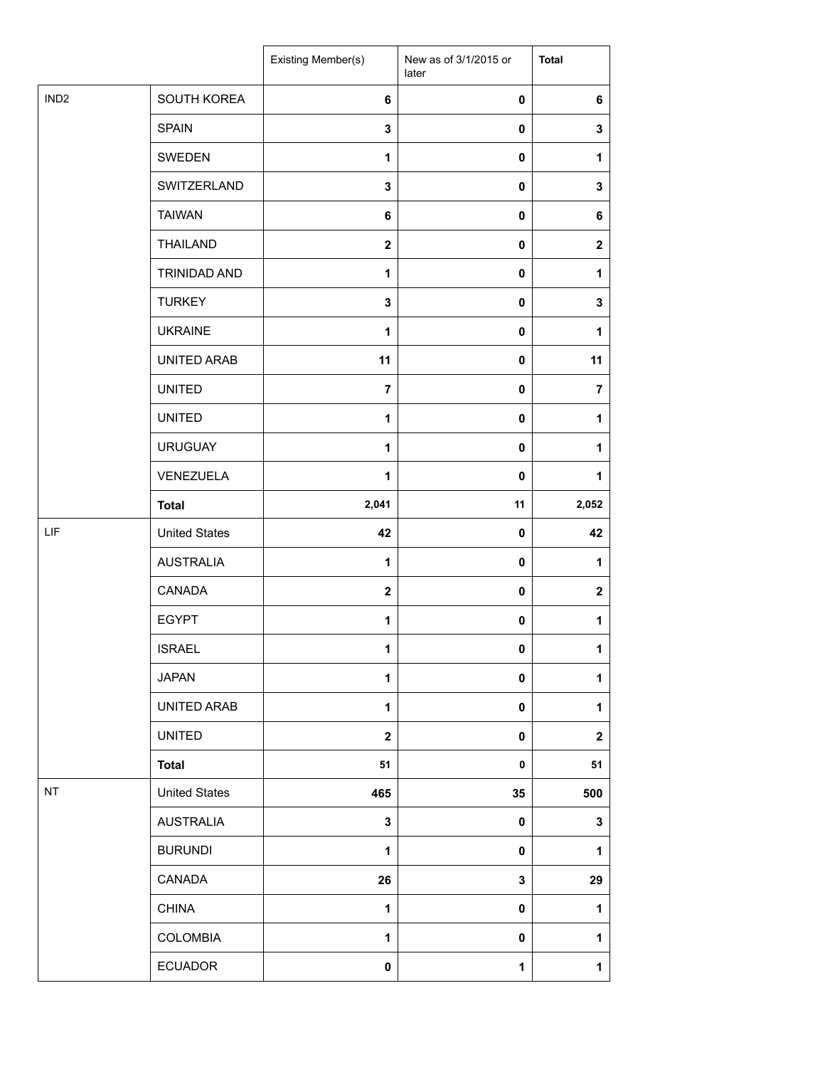|                  |                      | Existing Member(s) | New as of 3/1/2015 or<br>later | <b>Total</b>   |
|------------------|----------------------|--------------------|--------------------------------|----------------|
| IND <sub>2</sub> | SOUTH KOREA          | 6                  | $\mathbf 0$                    | 6              |
|                  | <b>SPAIN</b>         | 3                  | $\mathbf 0$                    | 3              |
|                  | SWEDEN               | $\mathbf{1}$       | 0                              | $\mathbf{1}$   |
|                  | SWITZERLAND          | 3                  | 0                              | $\mathbf 3$    |
|                  | <b>TAIWAN</b>        | 6                  | 0                              | 6              |
|                  | <b>THAILAND</b>      | $\mathbf 2$        | 0                              | $\mathbf 2$    |
|                  | TRINIDAD AND         | $\mathbf{1}$       | $\mathbf 0$                    | 1              |
|                  | <b>TURKEY</b>        | 3                  | 0                              | $\mathbf 3$    |
|                  | <b>UKRAINE</b>       | 1                  | 0                              | $\mathbf{1}$   |
|                  | UNITED ARAB          | 11                 | 0                              | 11             |
|                  | <b>UNITED</b>        | $\overline{7}$     | 0                              | $\overline{7}$ |
|                  | <b>UNITED</b>        | $\mathbf{1}$       | 0                              | $\mathbf{1}$   |
|                  | <b>URUGUAY</b>       | 1                  | $\mathbf 0$                    | 1              |
|                  | VENEZUELA            | 1                  | $\mathbf 0$                    | $\mathbf{1}$   |
|                  | <b>Total</b>         | 2,041              | 11                             | 2,052          |
| LIF              | <b>United States</b> | 42                 | $\mathbf 0$                    | 42             |
|                  | <b>AUSTRALIA</b>     | $\mathbf{1}$       | $\mathbf 0$                    | 1              |
|                  | CANADA               | $\mathbf 2$        | 0                              | $\mathbf 2$    |
|                  | <b>EGYPT</b>         | 1                  | 0                              | 1              |
|                  | <b>ISRAEL</b>        | 1                  | 0                              | $\mathbf{1}$   |
|                  | <b>JAPAN</b>         | 1                  | $\pmb{0}$                      | $\mathbf{1}$   |
|                  | UNITED ARAB          | 1                  | 0                              | $\mathbf{1}$   |
|                  | <b>UNITED</b>        | $\mathbf 2$        | 0                              | $\mathbf 2$    |
|                  | <b>Total</b>         | 51                 | 0                              | 51             |
| NT               | <b>United States</b> | 465                | 35                             | 500            |
|                  | <b>AUSTRALIA</b>     | 3                  | $\pmb{0}$                      | $\mathbf{3}$   |
|                  | <b>BURUNDI</b>       | $\mathbf{1}$       | 0                              | $\mathbf{1}$   |
|                  | CANADA               | 26                 | 3                              | 29             |
|                  | <b>CHINA</b>         | 1                  | 0                              | 1              |
|                  | COLOMBIA             | 1                  | 0                              | $\mathbf{1}$   |
|                  | <b>ECUADOR</b>       | 0                  | 1                              | 1              |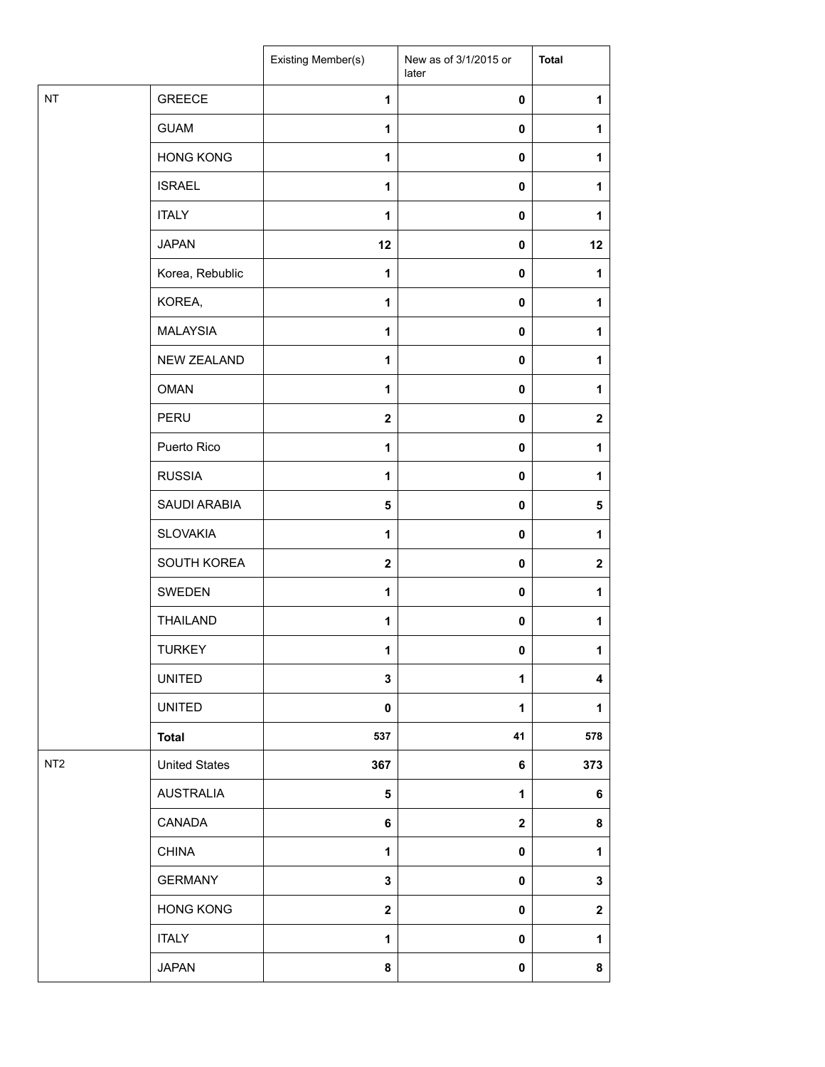|                 |                      | Existing Member(s) | New as of 3/1/2015 or<br>later | <b>Total</b>     |
|-----------------|----------------------|--------------------|--------------------------------|------------------|
| NT              | <b>GREECE</b>        | 1                  | $\pmb{0}$                      | 1                |
|                 | <b>GUAM</b>          | 1                  | 0                              | 1                |
|                 | <b>HONG KONG</b>     | $\mathbf{1}$       | $\pmb{0}$                      | 1                |
|                 | <b>ISRAEL</b>        | 1                  | $\pmb{0}$                      | 1                |
|                 | <b>ITALY</b>         | $\mathbf{1}$       | 0                              | 1                |
|                 | <b>JAPAN</b>         | 12                 | $\pmb{0}$                      | 12               |
|                 | Korea, Rebublic      | 1                  | 0                              | 1                |
|                 | KOREA,               | $\mathbf{1}$       | $\pmb{0}$                      | 1                |
|                 | <b>MALAYSIA</b>      | 1                  | $\pmb{0}$                      | 1                |
|                 | <b>NEW ZEALAND</b>   | 1                  | $\pmb{0}$                      | 1                |
|                 | <b>OMAN</b>          | $\mathbf{1}$       | 0                              | 1                |
|                 | <b>PERU</b>          | $\mathbf{2}$       | $\pmb{0}$                      | $\boldsymbol{2}$ |
|                 | Puerto Rico          | $\mathbf{1}$       | $\pmb{0}$                      | 1                |
|                 | <b>RUSSIA</b>        | 1                  | 0                              | 1                |
|                 | SAUDI ARABIA         | 5                  | $\pmb{0}$                      | 5                |
|                 | <b>SLOVAKIA</b>      | 1                  | $\pmb{0}$                      | 1                |
|                 | SOUTH KOREA          | $\mathbf{2}$       | $\pmb{0}$                      | $\mathbf{2}$     |
|                 | SWEDEN               | $\mathbf{1}$       | $\pmb{0}$                      | 1                |
|                 | <b>THAILAND</b>      | 1                  | $\mathbf 0$                    | 1                |
|                 | <b>TURKEY</b>        | $\mathbf{1}$       | 0                              | $\mathbf{1}$     |
|                 | <b>UNITED</b>        | 3                  | 1                              | 4                |
|                 | <b>UNITED</b>        | 0                  | 1                              | 1                |
|                 | <b>Total</b>         | 537                | 41                             | 578              |
| NT <sub>2</sub> | <b>United States</b> | 367                | 6                              | 373              |
|                 | <b>AUSTRALIA</b>     | $5\phantom{.0}$    | 1                              | 6                |
|                 | CANADA               | 6                  | $\mathbf 2$                    | 8                |
|                 | <b>CHINA</b>         | 1                  | 0                              | 1                |
|                 | <b>GERMANY</b>       | $\mathbf{3}$       | 0                              | 3                |
|                 | <b>HONG KONG</b>     | $\mathbf{2}$       | $\mathbf 0$                    | $\boldsymbol{2}$ |
|                 | <b>ITALY</b>         | 1                  | 0                              | 1                |
|                 | <b>JAPAN</b>         | 8                  | 0                              | 8                |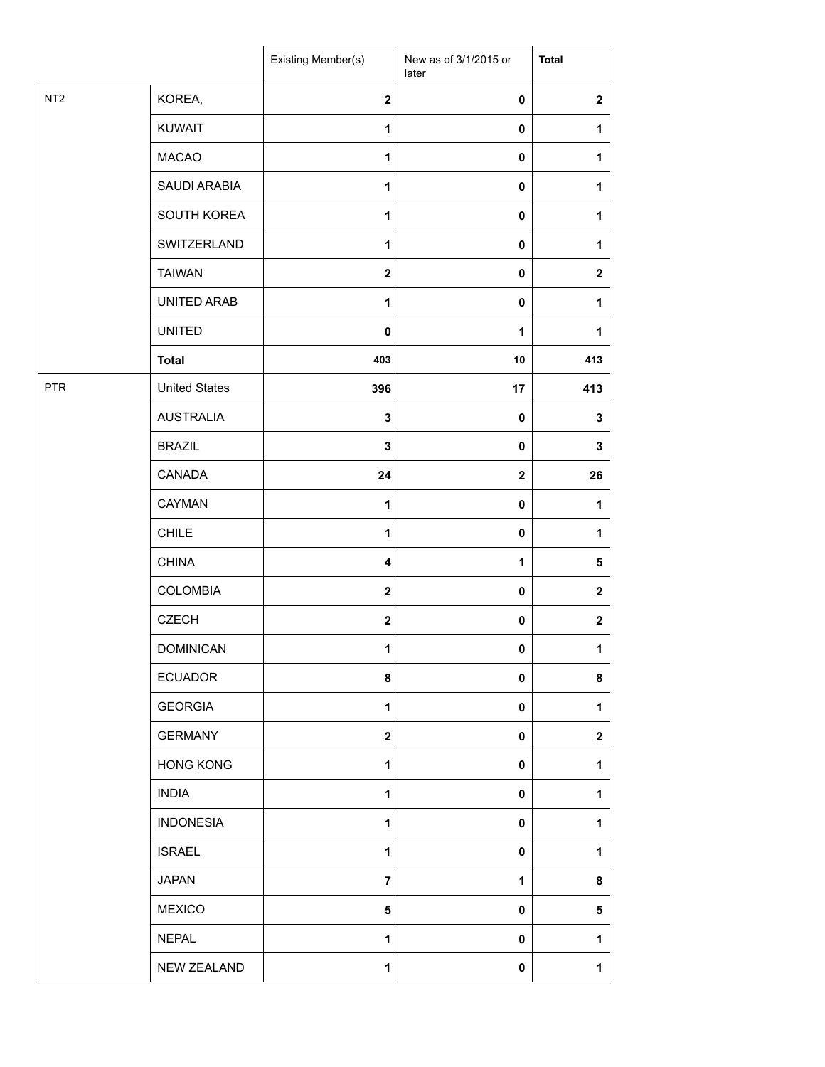|                 |                      | <b>Existing Member(s)</b> | New as of 3/1/2015 or<br>later | <b>Total</b>     |
|-----------------|----------------------|---------------------------|--------------------------------|------------------|
| NT <sub>2</sub> | KOREA,               | $\mathbf{2}$              | $\pmb{0}$                      | $\boldsymbol{2}$ |
|                 | <b>KUWAIT</b>        | $\mathbf{1}$              | $\pmb{0}$                      | 1                |
|                 | <b>MACAO</b>         | $\mathbf{1}$              | $\pmb{0}$                      | 1                |
|                 | SAUDI ARABIA         | $\mathbf{1}$              | $\mathbf 0$                    | 1                |
|                 | SOUTH KOREA          | $\mathbf{1}$              | $\pmb{0}$                      | 1                |
|                 | SWITZERLAND          | $\mathbf{1}$              | $\mathbf 0$                    | 1                |
|                 | <b>TAIWAN</b>        | $\mathbf 2$               | $\mathbf 0$                    | $\boldsymbol{2}$ |
|                 | UNITED ARAB          | $\mathbf{1}$              | $\pmb{0}$                      | 1                |
|                 | <b>UNITED</b>        | 0                         | $\mathbf{1}$                   | 1                |
|                 | <b>Total</b>         | 403                       | 10                             | 413              |
| <b>PTR</b>      | <b>United States</b> | 396                       | 17                             | 413              |
|                 | <b>AUSTRALIA</b>     | $\mathbf 3$               | $\pmb{0}$                      | $\mathbf 3$      |
|                 | <b>BRAZIL</b>        | $\mathbf 3$               | $\pmb{0}$                      | $\mathbf{3}$     |
|                 | CANADA               | 24                        | $\mathbf{2}$                   | 26               |
|                 | CAYMAN               | $\mathbf{1}$              | $\pmb{0}$                      | 1                |
|                 | <b>CHILE</b>         | 1                         | $\pmb{0}$                      | $\mathbf{1}$     |
|                 | <b>CHINA</b>         | $\overline{\mathbf{4}}$   | 1                              | $\sqrt{5}$       |
|                 | COLOMBIA             | $\mathbf{2}$              | $\pmb{0}$                      | $\mathbf{2}$     |
|                 | <b>CZECH</b>         | $\mathbf{2}$              | $\pmb{0}$                      | $\boldsymbol{2}$ |
|                 | <b>DOMINICAN</b>     | 1                         | $\pmb{0}$                      | 1                |
|                 | <b>ECUADOR</b>       | 8                         | $\pmb{0}$                      | 8                |
|                 | <b>GEORGIA</b>       | 1                         | $\mathbf 0$                    | 1                |
|                 | <b>GERMANY</b>       | $\mathbf{2}$              | 0                              | $\mathbf{2}$     |
|                 | <b>HONG KONG</b>     | $\mathbf{1}$              | $\mathbf 0$                    | 1                |
|                 | <b>INDIA</b>         | $\mathbf{1}$              | 0                              | 1                |
|                 | <b>INDONESIA</b>     | $\mathbf{1}$              | $\mathbf 0$                    | 1                |
|                 | <b>ISRAEL</b>        | $\mathbf{1}$              | $\mathbf 0$                    | 1                |
|                 | <b>JAPAN</b>         | $\overline{7}$            | 1                              | 8                |
|                 | <b>MEXICO</b>        | 5                         | $\mathbf 0$                    | 5                |
|                 | <b>NEPAL</b>         | $\mathbf{1}$              | $\mathbf 0$                    | 1                |
|                 | NEW ZEALAND          | 1                         | $\pmb{0}$                      | 1                |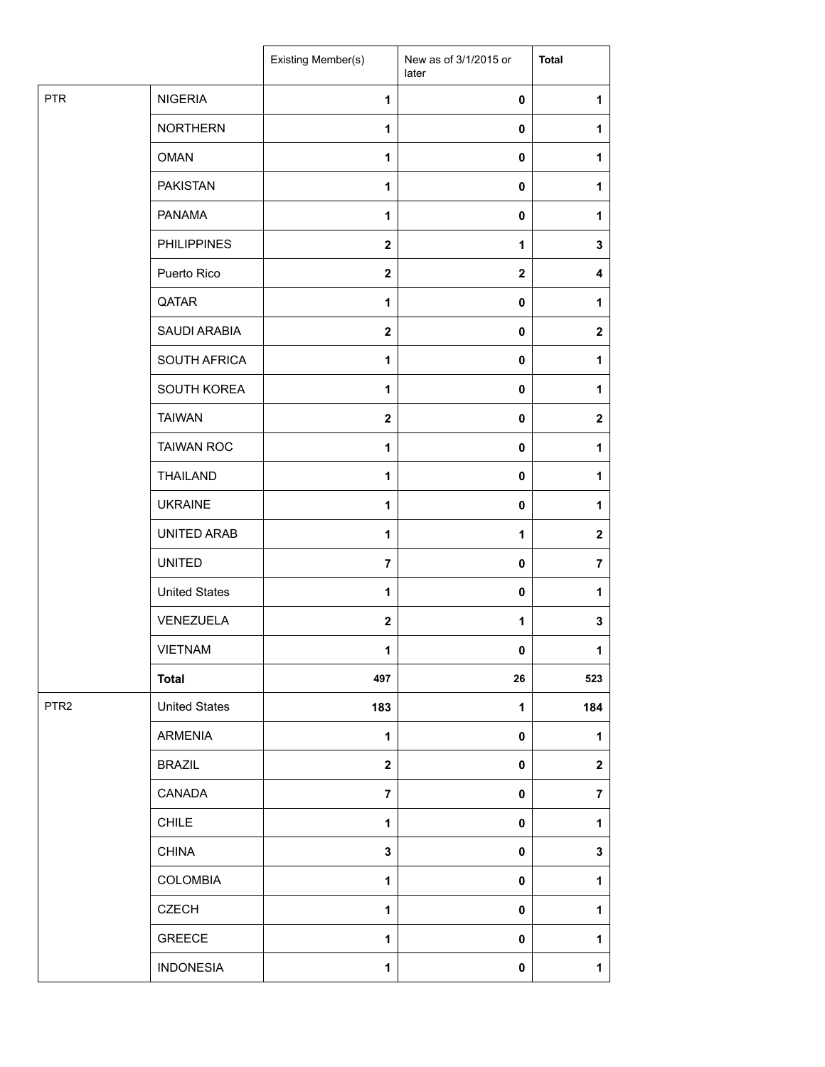|                  |                      | Existing Member(s)      | New as of 3/1/2015 or<br>later | <b>Total</b>            |
|------------------|----------------------|-------------------------|--------------------------------|-------------------------|
| <b>PTR</b>       | <b>NIGERIA</b>       | $\mathbf{1}$            | $\mathbf 0$                    | 1                       |
|                  | <b>NORTHERN</b>      | 1                       | 0                              | 1                       |
|                  | <b>OMAN</b>          | $\mathbf{1}$            | $\pmb{0}$                      | 1                       |
|                  | <b>PAKISTAN</b>      | 1                       | $\mathbf 0$                    | 1                       |
|                  | <b>PANAMA</b>        | $\mathbf{1}$            | 0                              | 1                       |
|                  | <b>PHILIPPINES</b>   | $\mathbf{2}$            | 1                              | $\mathbf 3$             |
|                  | Puerto Rico          | $\mathbf{2}$            | $\mathbf{2}$                   | 4                       |
|                  | QATAR                | $\mathbf{1}$            | 0                              | 1                       |
|                  | SAUDI ARABIA         | $\boldsymbol{2}$        | $\pmb{0}$                      | $\mathbf 2$             |
|                  | SOUTH AFRICA         | $\mathbf{1}$            | 0                              | 1                       |
|                  | SOUTH KOREA          | $\mathbf{1}$            | 0                              | 1                       |
|                  | <b>TAIWAN</b>        | $\mathbf{2}$            | $\pmb{0}$                      | $\overline{\mathbf{2}}$ |
|                  | <b>TAIWAN ROC</b>    | 1                       | 0                              | 1                       |
|                  | <b>THAILAND</b>      | 1                       | $\mathbf 0$                    | 1                       |
|                  | <b>UKRAINE</b>       | $\mathbf{1}$            | 0                              | 1                       |
|                  | UNITED ARAB          | 1                       | 1                              | $\mathbf 2$             |
|                  | <b>UNITED</b>        | $\overline{7}$          | $\pmb{0}$                      | $\overline{7}$          |
|                  | <b>United States</b> | $\mathbf{1}$            | $\mathbf 0$                    | 1                       |
|                  | VENEZUELA            | $\mathbf{2}$            | 1                              | 3                       |
|                  | <b>VIETNAM</b>       | 1                       | 0                              | $\mathbf 1$             |
|                  | <b>Total</b>         | 497                     | 26                             | 523                     |
| PTR <sub>2</sub> | <b>United States</b> | 183                     | $\mathbf{1}$                   | 184                     |
|                  | <b>ARMENIA</b>       | 1                       | 0                              | 1                       |
|                  | <b>BRAZIL</b>        | $\overline{\mathbf{2}}$ | 0                              | $\mathbf 2$             |
|                  | CANADA               | $\overline{\mathbf{7}}$ | 0                              | $\overline{\mathbf{r}}$ |
|                  | <b>CHILE</b>         | $\mathbf{1}$            | $\pmb{0}$                      | 1                       |
|                  | <b>CHINA</b>         | 3                       | $\pmb{0}$                      | $\mathbf 3$             |
|                  | <b>COLOMBIA</b>      | $\mathbf{1}$            | $\mathbf 0$                    | 1                       |
|                  | <b>CZECH</b>         | 1                       | 0                              | 1                       |
|                  | <b>GREECE</b>        | 1                       | 0                              | 1                       |
|                  | <b>INDONESIA</b>     | $\mathbf{1}$            | $\pmb{0}$                      | $\mathbf 1$             |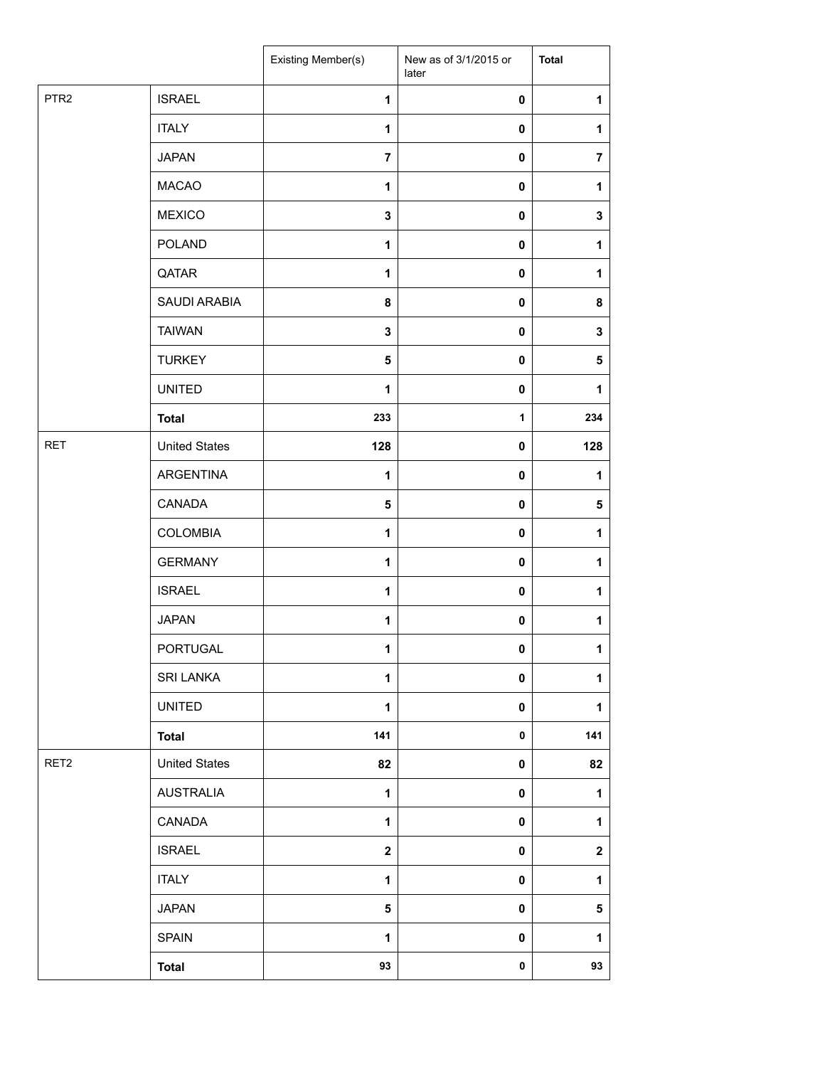|                  |                      | Existing Member(s) | New as of 3/1/2015 or<br>later | <b>Total</b>     |
|------------------|----------------------|--------------------|--------------------------------|------------------|
| PTR <sub>2</sub> | <b>ISRAEL</b>        | 1                  | $\pmb{0}$                      | 1                |
|                  | <b>ITALY</b>         | 1                  | 0                              | 1                |
|                  | <b>JAPAN</b>         | $\overline{7}$     | $\mathbf 0$                    | $\overline{7}$   |
|                  | <b>MACAO</b>         | 1                  | 0                              | 1                |
|                  | <b>MEXICO</b>        | $\mathbf{3}$       | 0                              | $\mathbf 3$      |
|                  | <b>POLAND</b>        | 1                  | 0                              | 1                |
|                  | QATAR                | 1                  | $\pmb{0}$                      | $\mathbf{1}$     |
|                  | SAUDI ARABIA         | 8                  | 0                              | 8                |
|                  | <b>TAIWAN</b>        | 3                  | 0                              | 3                |
|                  | <b>TURKEY</b>        | $\sqrt{5}$         | 0                              | 5                |
|                  | <b>UNITED</b>        | 1                  | 0                              | 1                |
|                  | <b>Total</b>         | 233                | $\mathbf{1}$                   | 234              |
| <b>RET</b>       | <b>United States</b> | 128                | 0                              | 128              |
|                  | ARGENTINA            | 1                  | 0                              | 1                |
|                  | CANADA               | $\sqrt{5}$         | 0                              | ${\bf 5}$        |
|                  | <b>COLOMBIA</b>      | $\mathbf{1}$       | 0                              | $\mathbf 1$      |
|                  | <b>GERMANY</b>       | 1                  | 0                              | $\mathbf{1}$     |
|                  | <b>ISRAEL</b>        | 1                  | 0                              | 1                |
|                  | <b>JAPAN</b>         | $\mathbf{1}$       | 0                              | $\mathbf{1}$     |
|                  | <b>PORTUGAL</b>      | 1                  | 0                              | $\mathbf{1}$     |
|                  | <b>SRI LANKA</b>     | 1                  | 0                              | $\mathbf{1}$     |
|                  | <b>UNITED</b>        | $\mathbf{1}$       | 0                              | $\mathbf{1}$     |
|                  | <b>Total</b>         | 141                | $\pmb{0}$                      | 141              |
| RET <sub>2</sub> | <b>United States</b> | 82                 | 0                              | 82               |
|                  | <b>AUSTRALIA</b>     | 1                  | 0                              | 1                |
|                  | CANADA               | $\mathbf{1}$       | 0                              | $\mathbf{1}$     |
|                  | <b>ISRAEL</b>        | $\mathbf{2}$       | 0                              | $\boldsymbol{2}$ |
|                  | <b>ITALY</b>         | 1                  | 0                              | $\mathbf{1}$     |
|                  | <b>JAPAN</b>         | 5                  | 0                              | $\sqrt{5}$       |
|                  | <b>SPAIN</b>         | 1                  | 0                              | $\mathbf{1}$     |
|                  | <b>Total</b>         | 93                 | 0                              | 93               |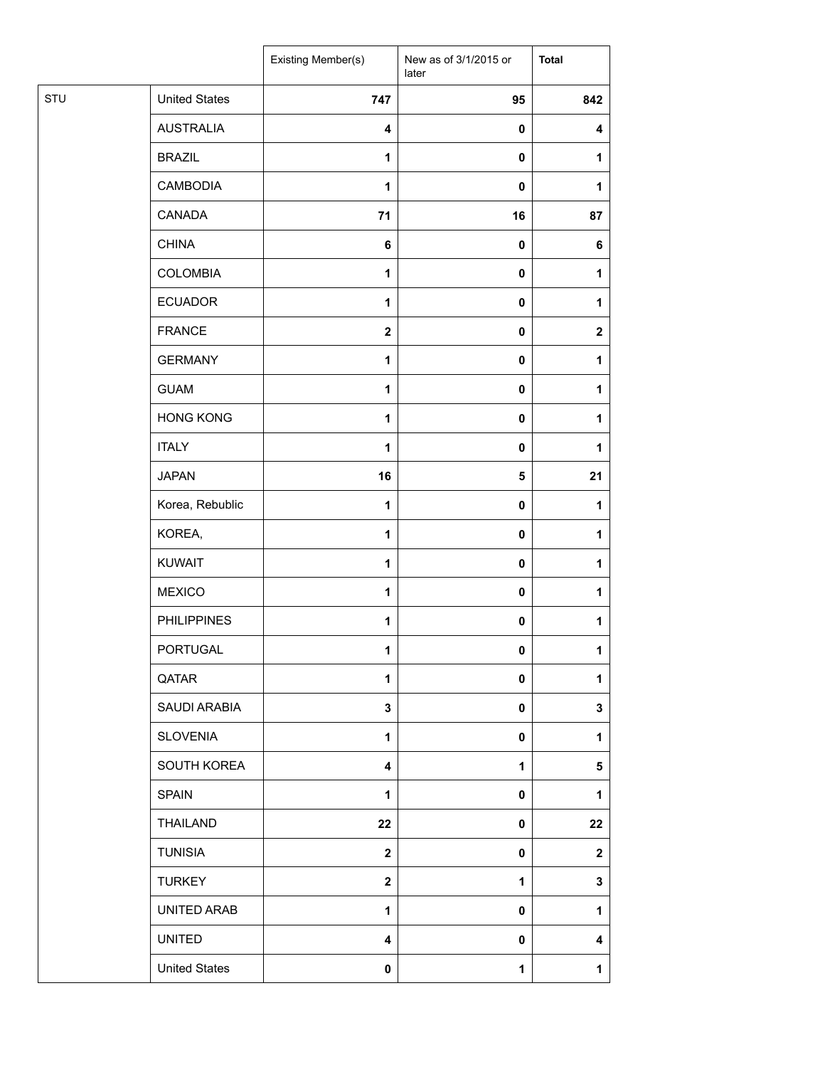|     |                      | Existing Member(s)      | New as of 3/1/2015 or<br>later | <b>Total</b> |
|-----|----------------------|-------------------------|--------------------------------|--------------|
| STU | <b>United States</b> | 747                     | 95                             | 842          |
|     | <b>AUSTRALIA</b>     | 4                       | $\pmb{0}$                      | 4            |
|     | <b>BRAZIL</b>        | 1                       | $\pmb{0}$                      | 1            |
|     | CAMBODIA             | 1                       | $\pmb{0}$                      | 1            |
|     | CANADA               | 71                      | 16                             | 87           |
|     | <b>CHINA</b>         | 6                       | $\pmb{0}$                      | 6            |
|     | COLOMBIA             | $\mathbf{1}$            | $\pmb{0}$                      | 1            |
|     | <b>ECUADOR</b>       | 1                       | $\pmb{0}$                      | 1            |
|     | <b>FRANCE</b>        | $\mathbf{2}$            | $\pmb{0}$                      | $\mathbf{2}$ |
|     | <b>GERMANY</b>       | 1                       | $\pmb{0}$                      | 1            |
|     | <b>GUAM</b>          | 1                       | $\pmb{0}$                      | 1            |
|     | <b>HONG KONG</b>     | $\mathbf{1}$            | $\pmb{0}$                      | 1            |
|     | <b>ITALY</b>         | 1                       | $\pmb{0}$                      | 1            |
|     | <b>JAPAN</b>         | 16                      | 5                              | 21           |
|     | Korea, Rebublic      | $\mathbf{1}$            | 0                              | 1            |
|     | KOREA,               | $\mathbf{1}$            | $\mathbf 0$                    | 1            |
|     | <b>KUWAIT</b>        | $\mathbf{1}$            | $\pmb{0}$                      | 1            |
|     | <b>MEXICO</b>        | $\mathbf{1}$            | $\pmb{0}$                      | 1            |
|     | <b>PHILIPPINES</b>   | 1                       | $\pmb{0}$                      | $\mathbf{1}$ |
|     | PORTUGAL             | 1                       | 0                              | $\mathbf{1}$ |
|     | QATAR                | 1                       | $\pmb{0}$                      | 1            |
|     | SAUDI ARABIA         | $\mathbf{3}$            | $\pmb{0}$                      | 3            |
|     | <b>SLOVENIA</b>      | $\mathbf{1}$            | $\mathbf 0$                    | 1            |
|     | SOUTH KOREA          | 4                       | $\mathbf{1}$                   | 5            |
|     | <b>SPAIN</b>         | $\mathbf{1}$            | 0                              | 1            |
|     | THAILAND             | 22                      | $\mathbf 0$                    | 22           |
|     | <b>TUNISIA</b>       | $\overline{\mathbf{2}}$ | 0                              | $\mathbf{2}$ |
|     | <b>TURKEY</b>        | $\overline{\mathbf{2}}$ | 1                              | $\mathbf{3}$ |
|     | UNITED ARAB          | 1                       | $\mathbf 0$                    | 1            |
|     | <b>UNITED</b>        | 4                       | 0                              | 4            |
|     | <b>United States</b> | 0                       | 1                              | $\mathbf{1}$ |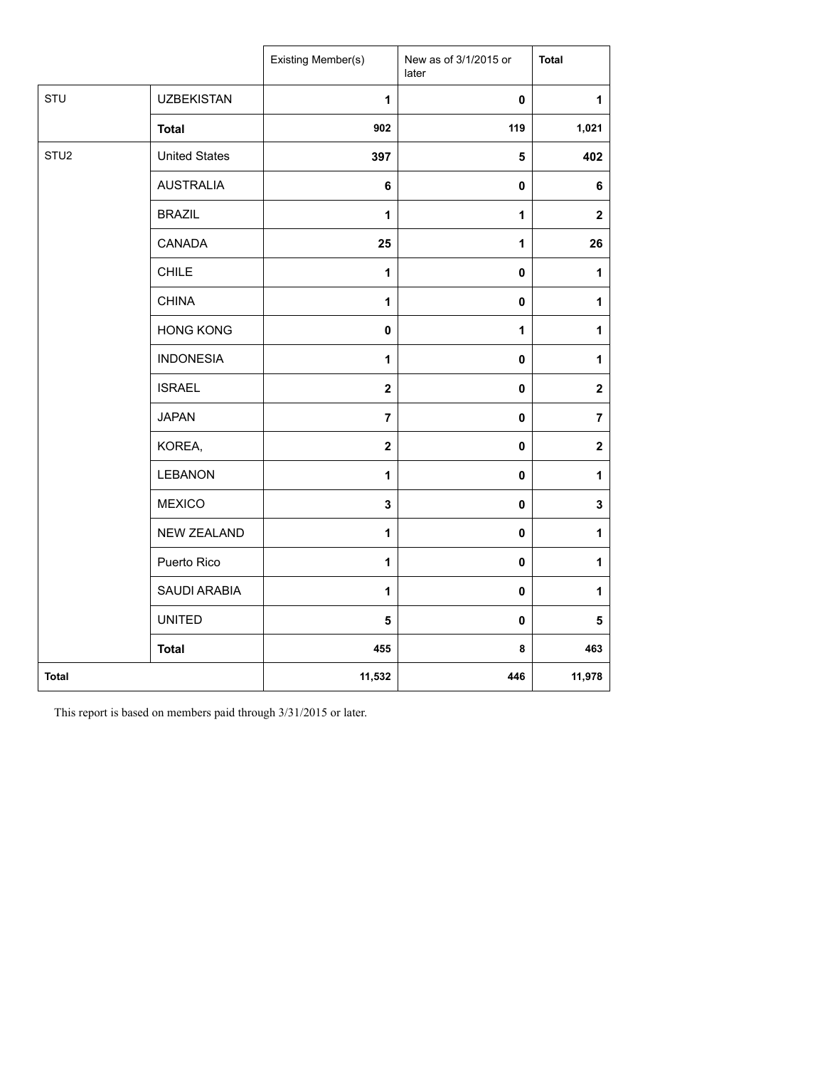|                  |                      | Existing Member(s) | New as of 3/1/2015 or<br>later | <b>Total</b>     |
|------------------|----------------------|--------------------|--------------------------------|------------------|
| STU              | <b>UZBEKISTAN</b>    | 1                  | $\pmb{0}$                      | $\mathbf{1}$     |
|                  | <b>Total</b>         | 902                | 119                            | 1,021            |
| STU <sub>2</sub> | <b>United States</b> | 397                | $\sqrt{5}$                     | 402              |
|                  | <b>AUSTRALIA</b>     | 6                  | $\pmb{0}$                      | 6                |
|                  | <b>BRAZIL</b>        | 1                  | 1                              | $\boldsymbol{2}$ |
|                  | CANADA               | 25                 | 1                              | 26               |
|                  | <b>CHILE</b>         | 1                  | $\pmb{0}$                      | $\mathbf{1}$     |
|                  | <b>CHINA</b>         | $\mathbf{1}$       | 0                              | $\mathbf{1}$     |
|                  | <b>HONG KONG</b>     | 0                  | 1                              | $\mathbf{1}$     |
|                  | <b>INDONESIA</b>     | 1                  | $\pmb{0}$                      | 1                |
|                  | <b>ISRAEL</b>        | $\mathbf{2}$       | $\pmb{0}$                      | $\mathbf 2$      |
|                  | <b>JAPAN</b>         | $\overline{7}$     | $\pmb{0}$                      | $\overline{7}$   |
|                  | KOREA,               | $\mathbf{2}$       | $\pmb{0}$                      | $\mathbf 2$      |
|                  | <b>LEBANON</b>       | $\mathbf{1}$       | $\mathbf 0$                    | $\mathbf{1}$     |
|                  | <b>MEXICO</b>        | 3                  | 0                              | 3                |
|                  | <b>NEW ZEALAND</b>   | $\mathbf{1}$       | $\pmb{0}$                      | $\mathbf{1}$     |
|                  | Puerto Rico          | $\mathbf{1}$       | $\pmb{0}$                      | $\mathbf{1}$     |
|                  | SAUDI ARABIA         | $\mathbf{1}$       | $\pmb{0}$                      | $\mathbf{1}$     |
|                  | <b>UNITED</b>        | 5                  | $\pmb{0}$                      | 5                |
|                  | <b>Total</b>         | 455                | 8                              | 463              |
| <b>Total</b>     |                      | 11,532             | 446                            | 11,978           |

This report is based on members paid through 3/31/2015 or later.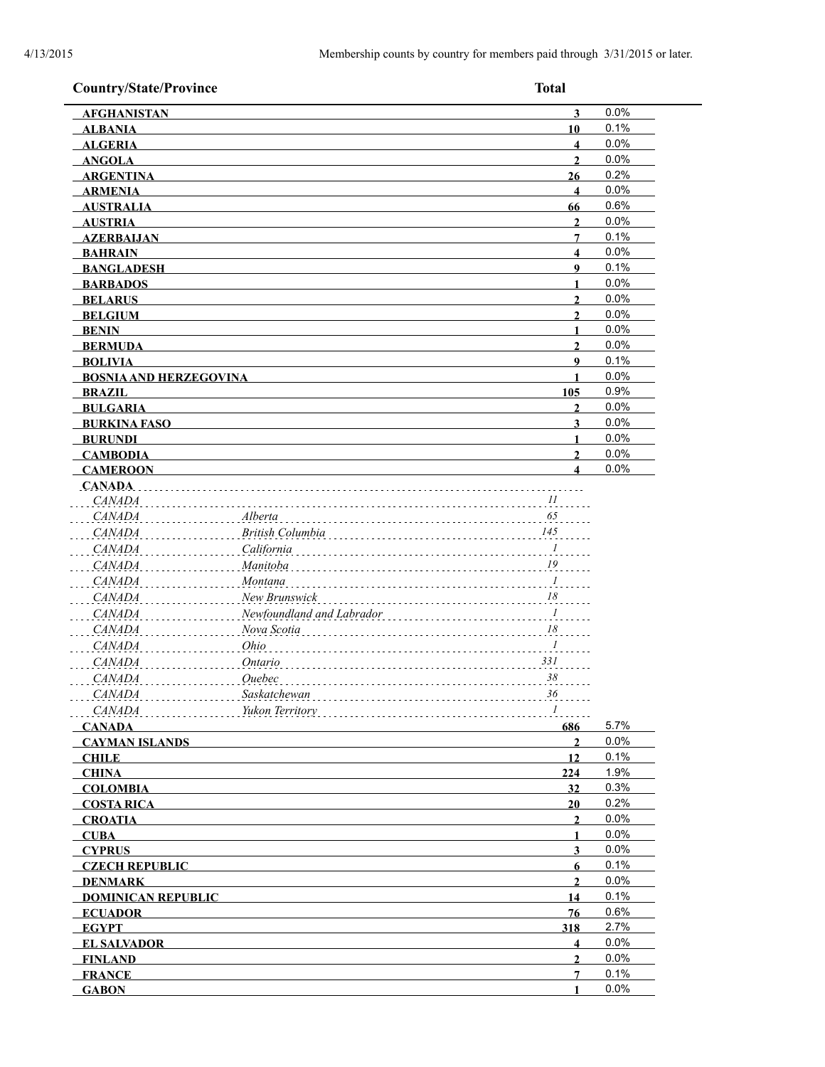| <b>Country/State/Province</b>                  |                           | <b>Total</b>                       |              |
|------------------------------------------------|---------------------------|------------------------------------|--------------|
| <b>AFGHANISTAN</b>                             |                           | $\overline{\mathbf{3}}$            | 0.0%         |
| <b>ALBANIA</b>                                 |                           | 10                                 | 0.1%         |
| <b>ALGERIA</b>                                 |                           | $\overline{\mathbf{4}}$            | 0.0%         |
| <b>ANGOLA</b>                                  |                           | $\overline{2}$                     | 0.0%         |
| <b>ARGENTINA</b>                               |                           | 26                                 | 0.2%         |
| <b>ARMENIA</b>                                 |                           | $\overline{\mathbf{4}}$            | 0.0%         |
| <b>AUSTRALIA</b>                               |                           | 66                                 | 0.6%         |
| <b>AUSTRIA</b>                                 |                           | $\mathbf{2}$                       | 0.0%         |
| <b>AZERBAIJAN</b>                              |                           | 7                                  | 0.1%         |
| <b>BAHRAIN</b>                                 |                           | $\overline{\mathbf{4}}$            | 0.0%         |
| <b>BANGLADESH</b>                              |                           | $\boldsymbol{9}$                   | 0.1%         |
| <b>BARBADOS</b>                                |                           | $\blacksquare$                     | 0.0%         |
| <b>BELARUS</b>                                 |                           | $\overline{2}$                     | 0.0%         |
| <b>BELGIUM</b>                                 |                           | $\overline{2}$                     | 0.0%         |
| <b>BENIN</b>                                   |                           | $\mathbf{1}$                       | 0.0%<br>0.0% |
| <b>BERMUDA</b>                                 |                           | $\overline{2}$<br>$\boldsymbol{9}$ | 0.1%         |
| <b>BOLIVIA</b>                                 |                           | 1                                  | 0.0%         |
| <b>BOSNIA AND HERZEGOVINA</b><br><b>BRAZIL</b> |                           | 105                                | 0.9%         |
| <b>BULGARIA</b>                                |                           | $\mathbf{2}$                       | 0.0%         |
| <b>BURKINA FASO</b>                            |                           | 3                                  | 0.0%         |
| <b>BURUNDI</b>                                 |                           | 1                                  | 0.0%         |
| <b>CAMBODIA</b>                                |                           | $\overline{2}$                     | 0.0%         |
| <b>CAMEROON</b>                                |                           | $\overline{\mathbf{4}}$            | 0.0%         |
| CANADA.                                        |                           |                                    |              |
| <i>CANADA</i>                                  |                           | 11                                 |              |
| <b>CANADA</b>                                  | Alberta                   | 65                                 |              |
| CANADA                                         | British Columbia          | 145                                |              |
| <b>CANADA</b>                                  | California                | $\overline{I}$                     |              |
| <b>CANADA</b>                                  | Manitoba                  | 19                                 |              |
| CANADA                                         | <b>Montana</b>            | $\frac{1}{\sqrt{2}}$               |              |
| CANADA                                         | New Brunswick             | 18                                 |              |
| <b>CANADA</b>                                  | Newfoundland and Labrador | $\overline{I}$                     |              |
| <b>CANADA</b>                                  | Nova Scotia               | $18\,$                             |              |
| <b>CANADA</b>                                  | Ohio                      | $\overline{I}$                     |              |
| <b>CANADA</b>                                  | Ontario                   | 331                                |              |
| <b>CANADA</b>                                  | Quebec                    | 38                                 |              |
| <b>CANADA</b>                                  | Saskatchewan              | 36                                 |              |
| <i>CANADA</i>                                  | Yukon Territory           | $\mathcal{I}$                      |              |
| <b>CANADA</b>                                  |                           | 686                                | 5.7%         |
| <b>CAYMAN ISLANDS</b>                          |                           | $\overline{2}$                     | 0.0%         |
| <b>CHILE</b>                                   |                           | 12                                 | 0.1%         |
| <b>CHINA</b>                                   |                           | 224                                | 1.9%         |
| <b>COLOMBIA</b>                                |                           | 32                                 | 0.3%         |
| <b>COSTA RICA</b>                              |                           | 20                                 | 0.2%         |
| <b>CROATIA</b>                                 |                           | $\overline{2}$                     | 0.0%         |
| <b>CUBA</b>                                    |                           | 1                                  | 0.0%         |
| <b>CYPRUS</b>                                  |                           | 3                                  | 0.0%         |
| <b>CZECH REPUBLIC</b>                          |                           | 6                                  | 0.1%         |
| <b>DENMARK</b>                                 |                           | $\overline{2}$                     | 0.0%         |
| <b>DOMINICAN REPUBLIC</b>                      |                           | 14                                 | 0.1%         |
| <b>ECUADOR</b>                                 |                           | 76                                 | 0.6%<br>2.7% |
| <b>EGYPT</b>                                   |                           | 318<br>$\overline{\mathbf{4}}$     | 0.0%         |
| <b>EL SALVADOR</b>                             |                           | $\mathbf{2}$                       | 0.0%         |
| <b>FINLAND</b><br><b>FRANCE</b>                |                           | 7                                  | 0.1%         |
| <b>GABON</b>                                   |                           | 1                                  | 0.0%         |
|                                                |                           |                                    |              |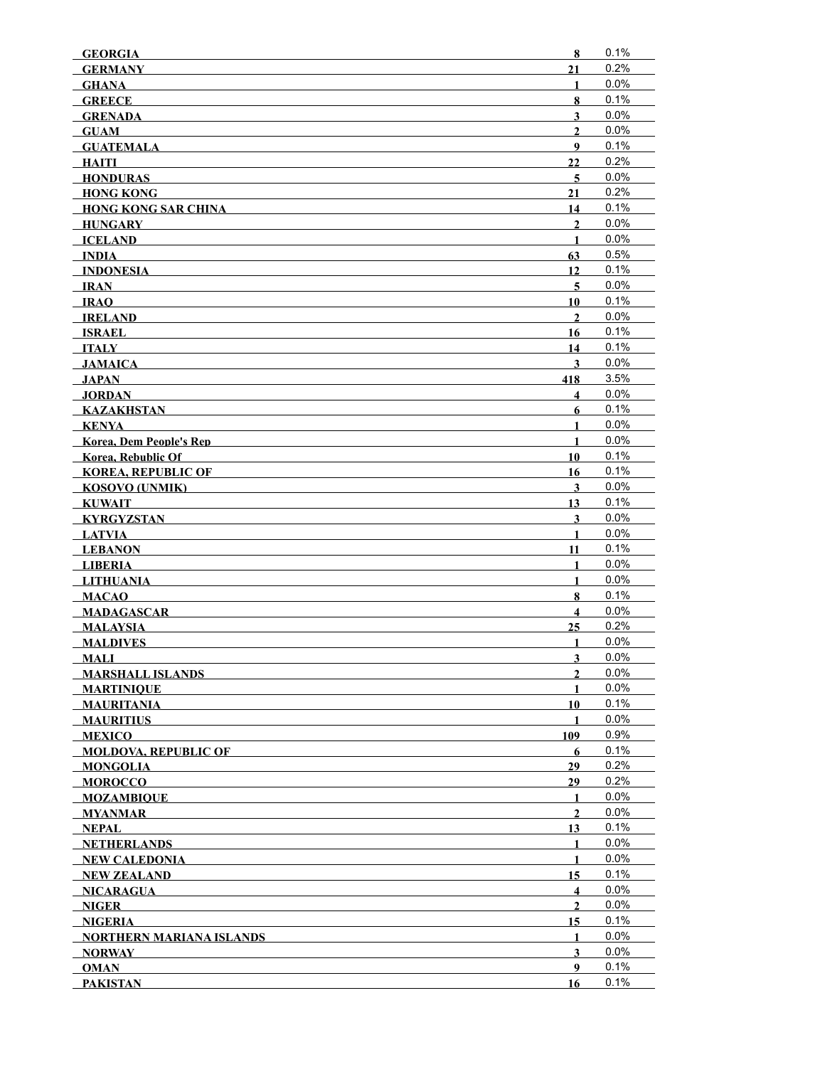| <b>GEORGIA</b>                  | 8                       | 0.1%    |
|---------------------------------|-------------------------|---------|
| <b>GERMANY</b>                  | 21                      | 0.2%    |
| <b>GHANA</b>                    | 1                       | 0.0%    |
| <b>GREECE</b>                   | 8                       | 0.1%    |
| <b>GRENADA</b>                  | $\overline{\mathbf{3}}$ | 0.0%    |
| <b>GUAM</b>                     | $\mathbf{2}$            | 0.0%    |
| <b>GUATEMALA</b>                | 9                       | 0.1%    |
| HAITI                           | 22                      | 0.2%    |
| <b>HONDURAS</b>                 | 5                       | 0.0%    |
| <b>HONG KONG</b>                | 21                      | 0.2%    |
| <b>HONG KONG SAR CHINA</b>      | 14                      | 0.1%    |
| HUNGARY                         | $\overline{2}$          | 0.0%    |
| <b>ICELAND</b>                  | $\mathbf{1}$            | 0.0%    |
| INDIA                           | 63                      | 0.5%    |
| <b>INDONESIA</b>                | 12                      | 0.1%    |
| IRAN                            | 5                       | 0.0%    |
| IRAO                            | 10                      | 0.1%    |
| <b>IRELAND</b>                  | $\mathbf{2}$            | 0.0%    |
| <b>ISRAEL</b>                   | 16                      | 0.1%    |
| ITALY                           | 14                      | 0.1%    |
| <b>JAMAICA</b>                  | $\mathbf{3}$            | 0.0%    |
| JAPAN                           | 418                     | 3.5%    |
| <b>JORDAN</b>                   | 4                       | 0.0%    |
| KAZAKHSTAN                      | $6\phantom{1}$          | 0.1%    |
| KENYA                           | $\mathbf{1}$            | 0.0%    |
| <b>Korea, Dem People's Rep</b>  | $\mathbf{1}$            | 0.0%    |
| <b>Korea, Rebublic Of</b>       | 10                      | 0.1%    |
| <b>KOREA, REPUBLIC OF</b>       | 16                      | 0.1%    |
| <b>KOSOVO (UNMIK)</b>           | $\mathbf{3}$            | 0.0%    |
| <b>KUWAIT</b>                   | 13                      | 0.1%    |
| <b>KYRGYZSTAN</b>               | 3                       | 0.0%    |
| LATVIA                          | 1                       | 0.0%    |
| <b>LEBANON</b>                  | 11                      | 0.1%    |
| <b>LIBERIA</b>                  | $\mathbf{1}$            | 0.0%    |
| <b>LITHUANIA</b>                | $\mathbf{1}$            | $0.0\%$ |
| <b>MACAO</b>                    | 8                       | 0.1%    |
| <b>MADAGASCAR</b>               | $\overline{\mathbf{4}}$ | 0.0%    |
| <b>MALAYSIA</b>                 | 25                      | 0.2%    |
| <b>MALDIVES</b>                 | 1                       | 0.0%    |
| <b>MALI</b>                     | 3                       | 0.0%    |
| <b>MARSHALL ISLANDS</b>         | $\mathbf{2}$            | 0.0%    |
| <b>MARTINIOUE</b>               | 1                       | $0.0\%$ |
| <b>MAURITANIA</b>               | 10                      | 0.1%    |
| <b>MAURITIUS</b>                | 1                       | 0.0%    |
| <b>MEXICO</b>                   | 109                     | 0.9%    |
| <b>MOLDOVA, REPUBLIC OF</b>     | 6                       | 0.1%    |
| <b>MONGOLIA</b>                 | 29                      | 0.2%    |
| <b>MOROCCO</b>                  | 29                      | 0.2%    |
| <b>MOZAMBIQUE</b>               | 1                       | 0.0%    |
| <b>MYANMAR</b>                  | $\mathbf{2}$            | 0.0%    |
| NEPAL                           | 13                      | 0.1%    |
| <b>NETHERLANDS</b>              | 1                       | 0.0%    |
| <b>NEW CALEDONIA</b>            | 1                       | 0.0%    |
| <b>NEW ZEALAND</b>              | 15                      | 0.1%    |
| <b>NICARAGUA</b>                | 4                       | 0.0%    |
| <b>NIGER</b>                    | $\mathbf{2}$            | 0.0%    |
| <b>NIGERIA</b>                  | 15                      | 0.1%    |
| <b>NORTHERN MARIANA ISLANDS</b> | 1                       | 0.0%    |
| <b>NORWAY</b>                   | $\overline{\mathbf{3}}$ | $0.0\%$ |
| <b>OMAN</b>                     | 9                       | 0.1%    |
| <b>PAKISTAN</b>                 | 16                      | 0.1%    |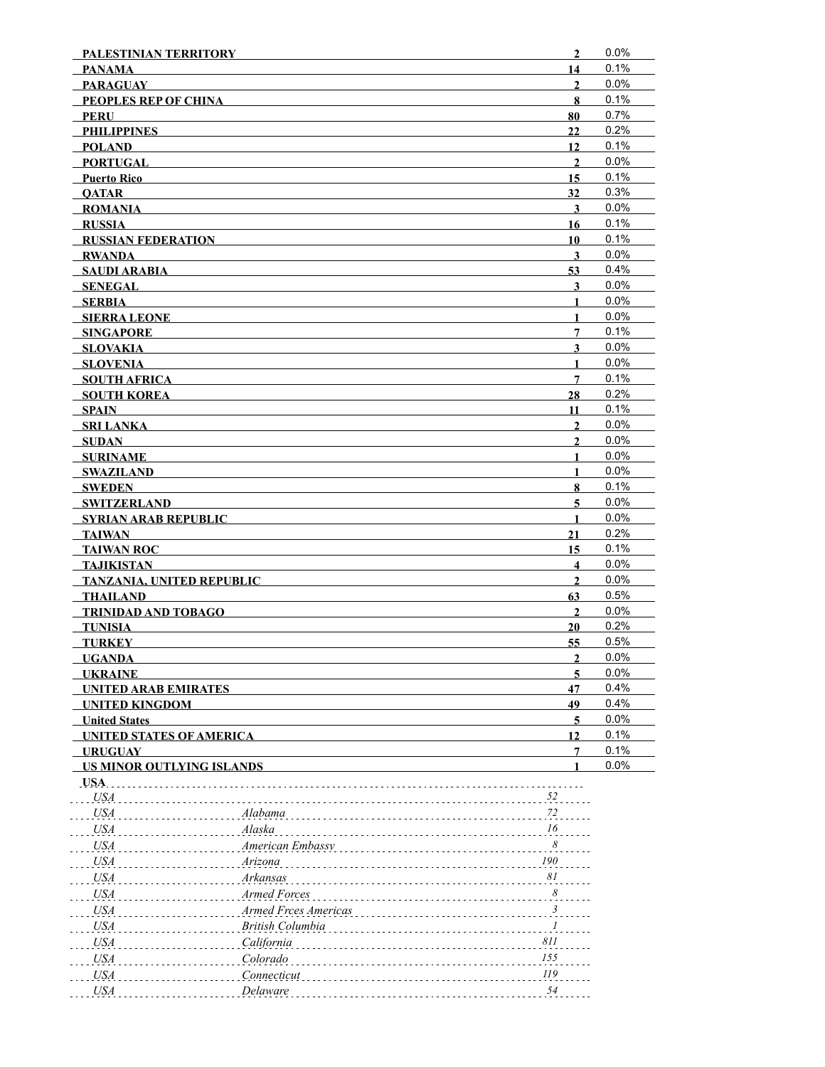| PALESTINIAN TERRITORY                         |                      | $\overline{2}$          | 0.0%    |
|-----------------------------------------------|----------------------|-------------------------|---------|
| <b>PANAMA</b>                                 |                      | 14                      | 0.1%    |
| <b>PARAGUAY</b>                               |                      | $\overline{2}$          | 0.0%    |
| PEOPLES REP OF CHINA                          |                      | 8                       | 0.1%    |
| PERU                                          |                      | 80                      | 0.7%    |
| <b>PHILIPPINES</b>                            |                      | 22                      | 0.2%    |
| <b>POLAND</b>                                 |                      | 12                      | 0.1%    |
| <b>PORTUGAL</b>                               |                      | $\mathbf{2}$            | $0.0\%$ |
| <b>Puerto Rico</b>                            |                      | 15                      | 0.1%    |
| <b>OATAR</b>                                  |                      | 32                      | 0.3%    |
| <b>ROMANIA</b>                                |                      | $\mathbf{3}$            | 0.0%    |
| <b>RUSSIA</b>                                 |                      | 16                      | 0.1%    |
| <b>RUSSIAN FEDERATION</b>                     |                      | 10                      | 0.1%    |
| <b>RWANDA</b>                                 |                      | $\mathbf{3}$            | 0.0%    |
| <b>SAUDI ARABIA</b>                           |                      | 53                      | 0.4%    |
| SENEGAL                                       |                      | $\mathbf{3}$            | 0.0%    |
| SERBIA                                        |                      | 1                       | 0.0%    |
| <b>SIERRA LEONE</b>                           |                      | 1                       | 0.0%    |
| <b>SINGAPORE</b>                              |                      | 7                       | 0.1%    |
| <b>SLOVAKIA</b>                               |                      | 3                       | $0.0\%$ |
| <b>SLOVENIA</b>                               |                      | 1                       | 0.0%    |
| <b>SOUTH AFRICA</b>                           |                      | $7\phantom{.0}$         | 0.1%    |
| <b>SOUTH KOREA</b>                            |                      | 28                      | 0.2%    |
| <b>SPAIN</b>                                  |                      | 11                      | 0.1%    |
| <b>SRI LANKA</b>                              |                      | $\mathbf{2}$            | 0.0%    |
| <b>SUDAN</b>                                  |                      | $\overline{2}$          | 0.0%    |
| <b>SURINAME</b>                               |                      | 1                       | 0.0%    |
| SWAZILAND                                     |                      | 1                       | 0.0%    |
| <b>SWEDEN</b>                                 |                      | 8                       | 0.1%    |
| SWITZERLAND                                   |                      | 5                       | 0.0%    |
| <b>SYRIAN ARAB REPUBLIC</b>                   |                      | 1                       | 0.0%    |
| <b>TAIWAN</b>                                 |                      | 21                      | 0.2%    |
| <b>TAIWAN ROC</b>                             |                      | 15                      | 0.1%    |
| <b>TAJIKISTAN</b>                             |                      | $\overline{\mathbf{4}}$ | 0.0%    |
|                                               |                      | $\mathbf{2}$            | 0.0%    |
| <b>TANZANIA, UNITED REPUBLIC</b>              |                      | 63                      | 0.5%    |
| <b>THAILAND</b><br><b>TRINIDAD AND TOBAGO</b> |                      | $\mathbf{2}$            | 0.0%    |
|                                               |                      | 20                      | 0.2%    |
| <b>TUNISIA</b>                                |                      | 55                      | 0.5%    |
| <b>TURKEY</b><br><b>UGANDA</b>                |                      | $\overline{2}$          | 0.0%    |
|                                               |                      |                         | 0.0%    |
| <b>UKRAINE</b>                                |                      | 5                       | 0.4%    |
| <b>UNITED ARAB EMIRATES</b>                   |                      | 47                      | 0.4%    |
| <b>UNITED KINGDOM</b>                         |                      | 49                      | 0.0%    |
| <b>United States</b>                          |                      | 5                       | 0.1%    |
| <b>UNITED STATES OF AMERICA</b>               |                      | 12<br>7                 | 0.1%    |
| <b>URUGUAY</b>                                |                      | $\blacksquare$          | 0.0%    |
| <b>US MINOR OUTLYING ISLANDS</b>              |                      |                         |         |
| USA.<br><b>USA</b>                            |                      | 52                      |         |
|                                               |                      | 72                      |         |
| <b>USA</b>                                    | Alabama              |                         |         |
| <b>USA</b>                                    | Alaska               | 16                      |         |
| <b>USA</b>                                    | American Embassy     | 8                       |         |
| <b>USA</b>                                    | Arizona              | 190                     |         |
| <b>USA</b>                                    | Arkansas             | 81                      |         |
| <b>USA</b>                                    | Armed Forces         | 8                       |         |
| <b>USA</b>                                    | Armed Frces Americas | $\mathfrak{Z}$          |         |
| <b>USA</b>                                    | British Columbia     | $\mathcal{I}$           |         |
| <b>USA</b>                                    | California           | 811                     |         |
| <b>USA</b>                                    | Colorado             | 155                     |         |
| <b>USA</b>                                    | Connecticut          | 119                     |         |
| <b>USA</b>                                    | Delaware             | 54                      |         |
|                                               |                      |                         |         |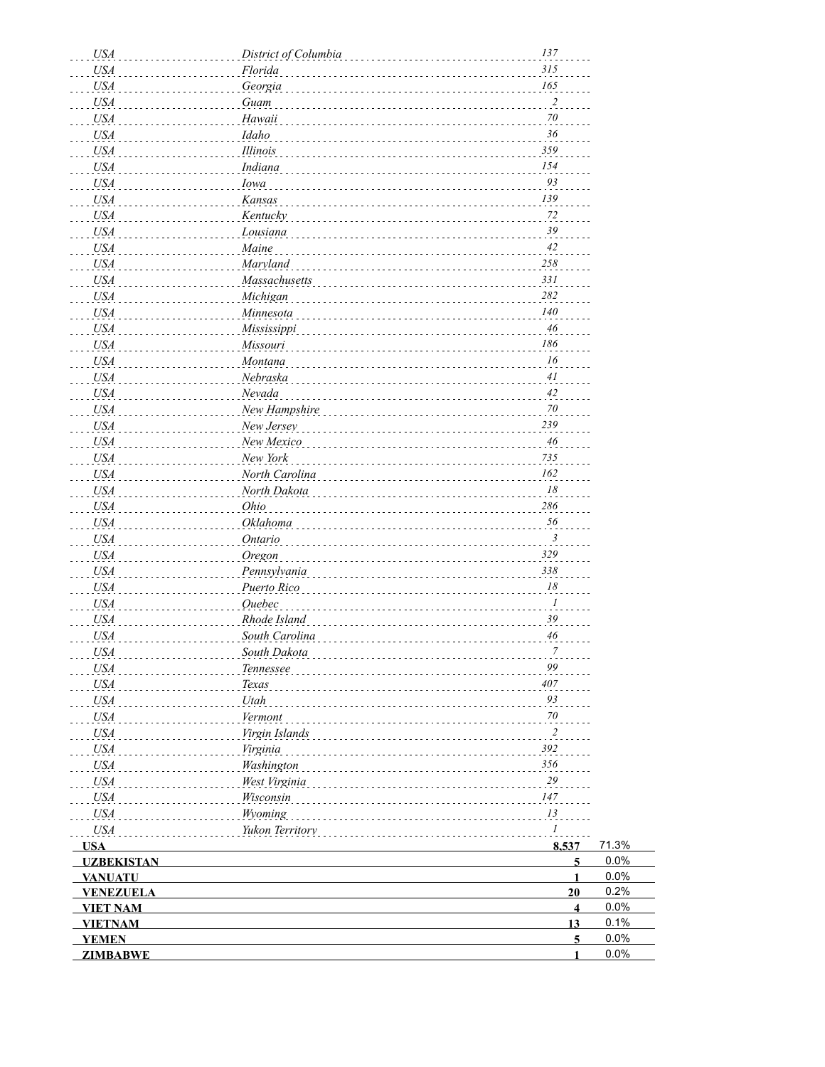| <b>USA</b>        | District of Columbia | 137                     |       |
|-------------------|----------------------|-------------------------|-------|
| <b>USA</b>        | Florida              | 315                     |       |
| USA               | Georgia              | 165                     |       |
| <b>USA</b>        | Guam                 | $\overline{\mathbf{c}}$ |       |
| <b>USA</b>        | Hawaii               | $70\,$                  |       |
| <b>USA</b>        | Idaho                | 36                      |       |
| <b>USA</b>        | Illinois             | 359                     |       |
| <b>USA</b>        | Indiana              | 154                     |       |
| <b>USA</b>        | Iowa                 | 93                      |       |
| <b>USA</b>        | Kansas               | 139                     |       |
| <b>USA</b>        | Kentucky             | 72                      |       |
| <b>USA</b>        | Lousiana             | 39                      |       |
| <b>USA</b>        | Maine                | 42                      |       |
| <b>USA</b>        | Maryland             | 258                     |       |
| <b>USA</b>        | Massachusetts        | 331                     |       |
| <b>USA</b>        | Michigan             | 282                     |       |
| <b>USA</b>        | Minnesota            | 140                     |       |
| <b>USA</b>        | Mississippi          | 46                      |       |
| <b>USA</b>        | Missouri             | 186                     |       |
| <b>USA</b>        | Montana              | 16                      |       |
| <b>USA</b>        | Nebraska             | $4\,$                   |       |
| <b>USA</b>        | Nevada               | $42\,$                  |       |
| <b>USA</b>        | New Hampshire        | $70\,$                  |       |
| <b>USA</b>        | New Jersey           | 239                     |       |
| <b>USA</b>        | New Mexico           | 46                      |       |
| <b>USA</b>        | New York             | 735                     |       |
| <b>USA</b>        | North Carolina       | 162                     |       |
| <b>USA</b>        | North Dakota         | 18                      |       |
| <b>USA</b>        | Ohio                 | 286                     |       |
| <b>USA</b>        | Oklahoma             | 56                      |       |
| <b>USA</b>        | <b>Ontario</b>       | $\mathfrak{Z}$          |       |
| <b>USA</b>        | Oregon               | 329                     |       |
| <b>USA</b>        | Pennsylvania         | 338                     |       |
| <b>USA</b>        | Puerto Rico          | 18                      |       |
| <b>USA</b>        | <b>Ouebec</b>        | $\boldsymbol{l}$        |       |
| <b>USA</b>        | Rhode Island         | 39                      |       |
| <b>USA</b>        | South Carolina       | 46                      |       |
| USA               | South Dakota         |                         |       |
| USA               | Tennessee            | 99                      |       |
| <b>USA</b>        | Texas                | 407                     |       |
| <b>USA</b>        | Utah                 | 93                      |       |
| <b>USA</b>        | Vermont              | $70\,$                  |       |
| <b>USA</b>        | Virgin Islands       | $\overline{2}$          |       |
| <b>USA</b>        | Virginia             | 392                     |       |
| <b>USA</b>        | Washington           | 356                     |       |
| <b>USA</b>        | West Virginia        | 29                      |       |
| <b>USA</b>        | Wisconsin            | 147                     |       |
| <b>USA</b>        | Wyoming              | 13                      |       |
| <b>USA</b>        | Yukon Territory      | $\mathcal{I}$           |       |
| <b>USA</b>        |                      | 8,537                   | 71.3% |
| <b>UZBEKISTAN</b> |                      | 5                       | 0.0%  |
| <b>VANUATU</b>    |                      | $\mathbf{1}$            | 0.0%  |
| <b>VENEZUELA</b>  |                      | 20                      | 0.2%  |
| <b>VIET NAM</b>   |                      | $\overline{\mathbf{4}}$ | 0.0%  |
| <b>VIETNAM</b>    |                      | 13                      | 0.1%  |
| <b>YEMEN</b>      |                      | $\overline{5}$          | 0.0%  |
| <b>ZIMBABWE</b>   |                      | 1                       | 0.0%  |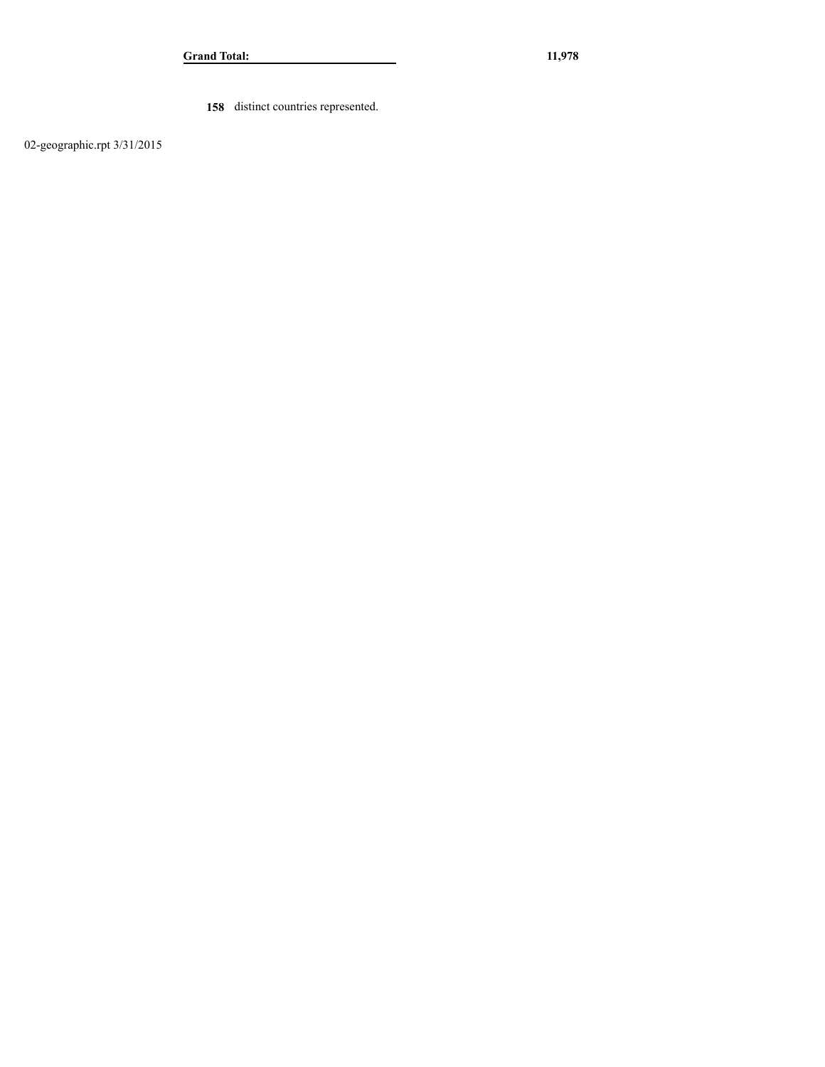**158** distinct countries represented.

02-geographic.rpt 3/31/2015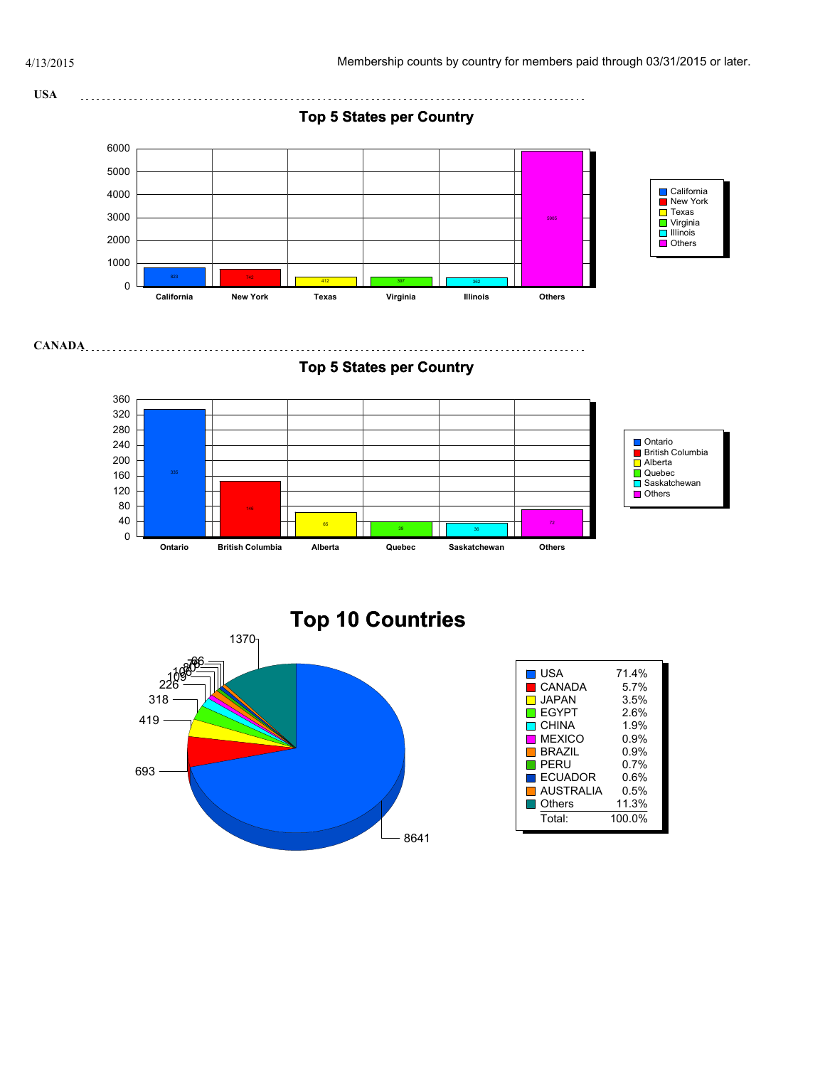**MEXICO** 0.9% **BRAZIL** 0.9%

ECUADOR 0.6% **AUSTRALIA** 0.5% Others 11.3% Total: 100.0%

 $\blacksquare$  PERU



8641

693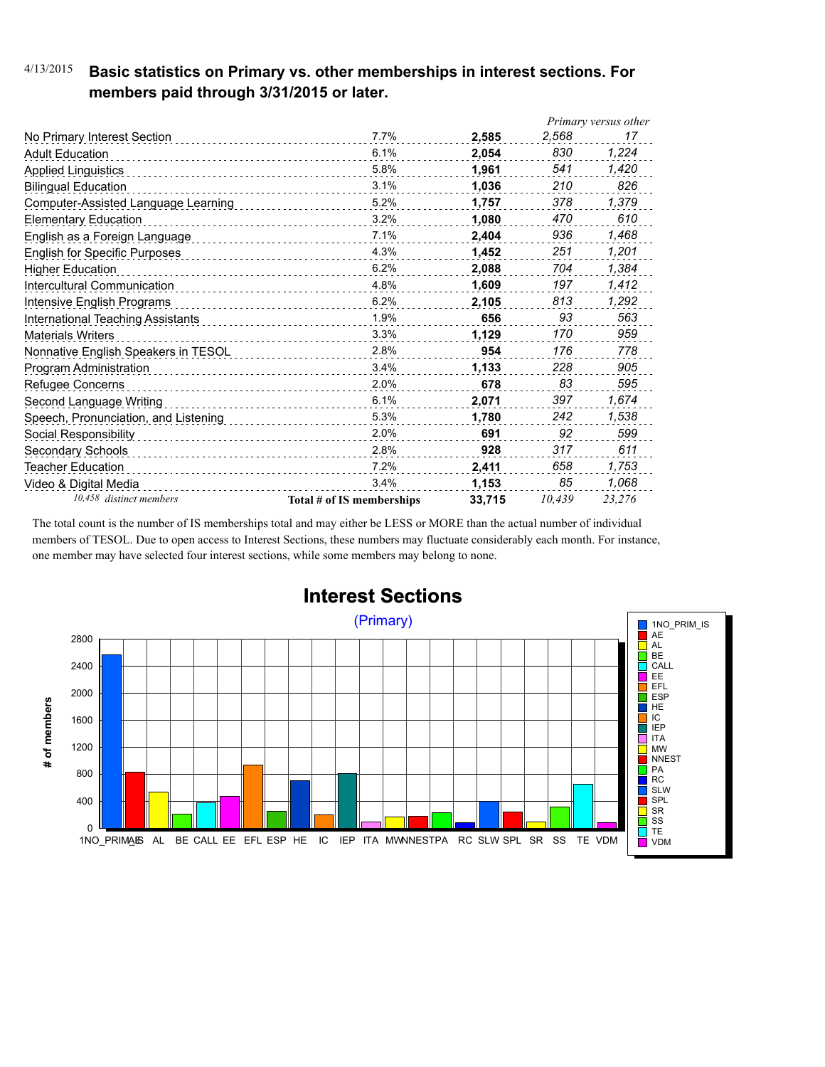### 4/13/2015 **Basic statistics on Primary vs. other memberships in interest sections. For members paid through 3/31/2015 or later.**

|                                      |                           |        |        | Primary versus other |
|--------------------------------------|---------------------------|--------|--------|----------------------|
| No Primary Interest Section          | 7.7%                      | 2,585  | 2,568  | 17                   |
| <b>Adult Education</b>               | 6.1%                      | 2.054  | 830    | 1,224                |
| <b>Applied Linguistics</b>           | 5.8%                      | 1,961  | 541    | 1,420                |
| <b>Bilingual Education</b>           | 3.1%                      | 1,036  | 210    | 826                  |
| Computer-Assisted Language Learning  | 5.2%                      | 1,757  | 378    | 1,379                |
| <b>Elementary Education</b>          | 3.2%                      | 1,080  | 470    | 610                  |
| English as a Foreign Language        | 7.1%                      | 2.404  | 936    | 1,468                |
| <b>English for Specific Purposes</b> | 4.3%                      | 1.452  | 251    | 1,201                |
| <b>Higher Education</b>              | 6.2%                      | 2,088  | 704    | 1,384                |
| Intercultural Communication          | 4.8%                      | 1,609  | 197    | 1,412                |
| Intensive English Programs           | 6.2%                      | 2,105  | 813    | 1,292                |
| International Teaching Assistants    | 1.9%                      | 656    | 93     | 563                  |
| <b>Materials Writers</b>             | 3.3%<br>.                 | 1,129  | 170    | 959                  |
| Nonnative English Speakers in TESOL  | 2.8%                      | 954    | 176    | 778                  |
| Program Administration               | 3.4%                      | 1,133  | 228    | 905                  |
| Refugee Concerns                     | 2.0%                      | 678    | 83     | 595                  |
| Second Language Writing              | 6.1%                      | 2,071  | 397    | 1,674                |
| Speech, Pronunciation, and Listening | 5.3%                      | 1,780  | 242    | 1,538                |
| Social Responsibility                | 2.0%                      | 691    | 92     | 599                  |
| Secondary Schools                    | 2.8%                      | 928    | 317    | 611                  |
| Teacher Education                    | 7.2%                      | 2,411  | 658    | 1,753                |
| Video & Digital Media                | 3.4%                      | 1,153  | 85     | 1,068                |
| 10,458 distinct members              | Total # of IS memberships | 33,715 | 10,439 | 23.276               |

The total count is the number of IS memberships total and may either be LESS or MORE than the actual number of individual members of TESOL. Due to open access to Interest Sections, these numbers may fluctuate considerably each month. For instance, one member may have selected four interest sections, while some members may belong to none.



## **Interest Sections**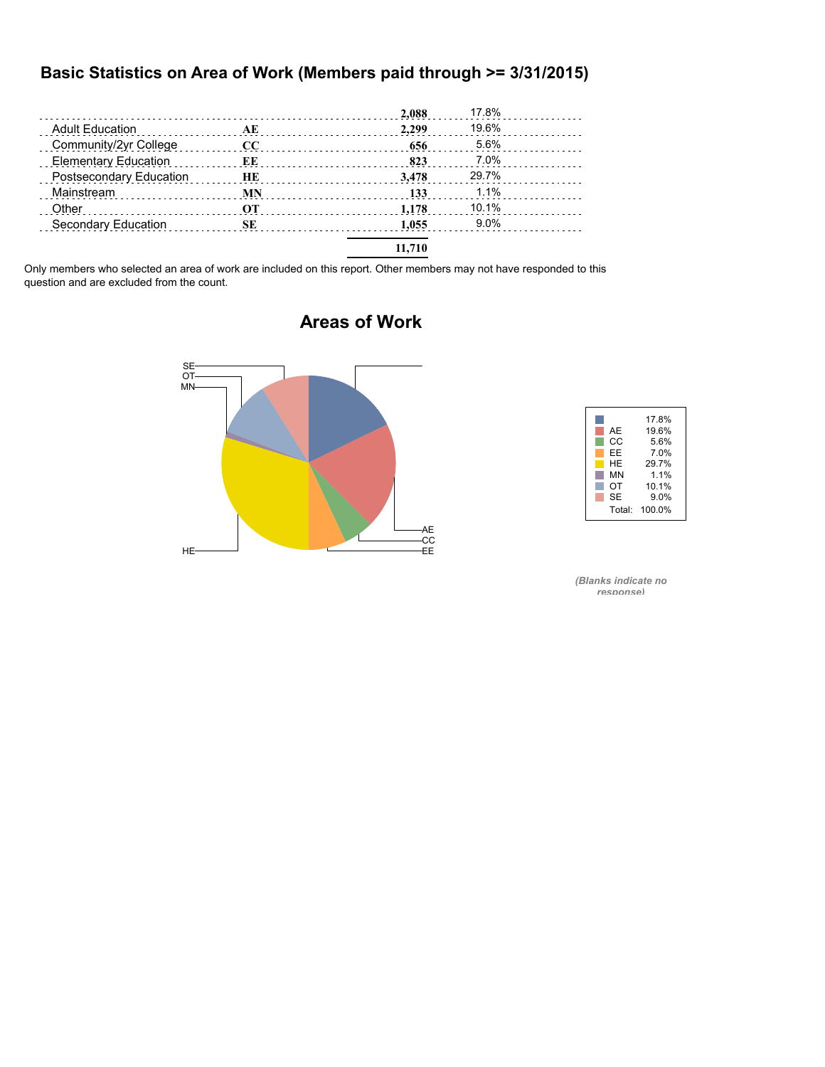#### **Basic Statistics on Area of Work (Members paid through >= 3/31/2015)**

|                             |           | 2,088  | 17.8%   |  |
|-----------------------------|-----------|--------|---------|--|
| <b>Adult Education</b>      | AE        | 2.299  | 19.6%   |  |
| Community/2yr College       | $\bf CC$  | 656    | 5.6%    |  |
| <b>Elementary Education</b> | ЕE        | 823    | 7.0%    |  |
| Postsecondary Education     | HE        | 3.478  | 29.7%   |  |
| Mainstream                  | <b>MN</b> | 133    | 1.1%    |  |
| Other                       | <b>OT</b> | 1.178  | 10.1%   |  |
| Secondary Education         | SЕ        | 1.055  | $9.0\%$ |  |
|                             |           | 11,710 |         |  |

Only members who selected an area of work are included on this report. Other members may not have responded to this question and are excluded from the count.



### **Areas of Work**



*(Blanks indicate no response)*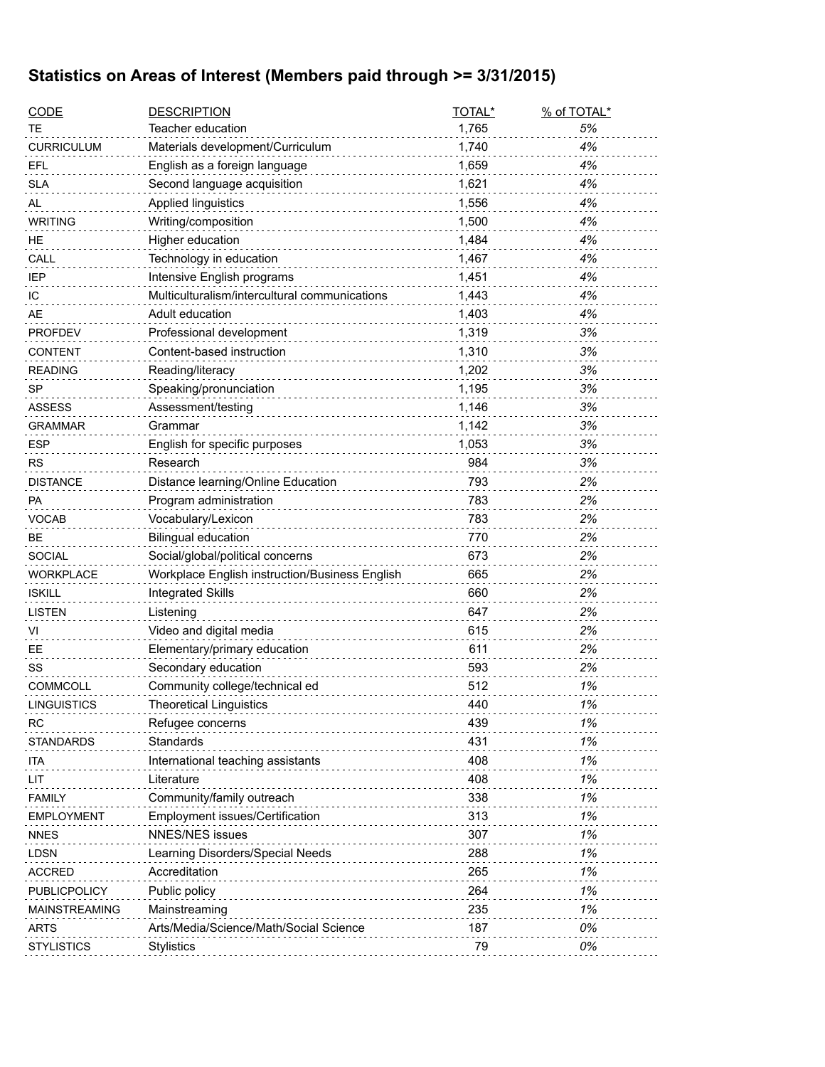## **Statistics on Areas of Interest (Members paid through >= 3/31/2015)**

| <b>CODE</b>          | <b>DESCRIPTION</b>                             | TOTAL* | % of TOTAL* |
|----------------------|------------------------------------------------|--------|-------------|
| ТE                   | Teacher education                              | 1,765  | 5%          |
| <b>CURRICULUM</b>    | Materials development/Curriculum               | 1,740  | 4%          |
| EFL                  | English as a foreign language                  | 1,659  | 4%          |
| <b>SLA</b>           | Second language acquisition                    | 1,621  | 4%          |
| AL                   | Applied linguistics                            | 1,556  | 4%          |
| <b>WRITING</b>       | Writing/composition                            | 1,500  | 4%          |
| HE.                  | Higher education                               | 1,484  | 4%          |
| CALL                 | Technology in education                        | 1,467  | 4%          |
| <b>IEP</b>           | Intensive English programs                     | 1,451  | 4%          |
| IC                   | Multiculturalism/intercultural communications  | 1,443  | 4%          |
| AE                   | Adult education                                | 1,403  | 4%          |
| <b>PROFDEV</b>       | Professional development                       | 1,319  | 3%          |
| <b>CONTENT</b>       | Content-based instruction                      | 1,310  | 3%          |
| <b>READING</b>       | Reading/literacy                               | 1,202  | 3%          |
| SP                   | Speaking/pronunciation                         | 1,195  | 3%          |
| <b>ASSESS</b>        | Assessment/testing                             | 1,146  | 3%          |
| <b>GRAMMAR</b>       | Grammar                                        | 1,142  | 3%          |
| <b>ESP</b>           | English for specific purposes                  | 1,053  | 3%          |
| <b>RS</b>            | Research                                       | 984    | 3%          |
| <b>DISTANCE</b>      | Distance learning/Online Education             | 793    | 2%          |
| PA                   | Program administration                         | 783    | 2%          |
| VOCAB                | Vocabulary/Lexicon                             | 783    | 2%          |
| <b>BE</b>            | <b>Bilingual education</b>                     | 770    | 2%          |
| <b>SOCIAL</b>        | Social/global/political concerns               | 673    | 2%          |
| <b>WORKPLACE</b>     | Workplace English instruction/Business English | 665    | 2%          |
| <b>ISKILL</b>        | <b>Integrated Skills</b>                       | 660    | 2%          |
| <b>LISTEN</b>        | Listening                                      | 647    | 2%          |
| VI                   | Video and digital media                        | 615    | 2%          |
| EE                   | Elementary/primary education                   | 611    | 2%          |
| SS                   | Secondary education                            | 593    | 2%          |
| <b>COMMCOLL</b>      | Community college/technical ed                 | 512    | 1%          |
| LINGUISTICS          | <b>Theoretical Linguistics</b>                 | 440    | 1%          |
| <b>RC</b>            | Refugee concerns                               | 439    | 1%          |
| <b>STANDARDS</b>     | Standards                                      | 431    | 1%          |
| ita                  | International teaching assistants              | 408    | 1%          |
| LIT                  | Literature                                     | 408    | 1%          |
| <b>FAMILY</b>        | Community/family outreach                      | 338    | 1%          |
| <b>EMPLOYMENT</b>    | Employment issues/Certification                | 313    | 1%          |
| <b>NNES</b>          | <b>NNES/NES issues</b>                         | 307    | 1%          |
| <b>LDSN</b>          | Learning Disorders/Special Needs               | 288    | 1%          |
| <b>ACCRED</b>        | Accreditation                                  | 265    | 1%          |
| PUBLICPOLICY         | Public policy                                  | 264    | 1%          |
| <b>MAINSTREAMING</b> | Mainstreaming                                  | 235    | 1%          |
| <b>ARTS</b>          | Arts/Media/Science/Math/Social Science         | 187    | 0%          |
| <b>STYLISTICS</b>    | Stylistics                                     | 79     | 0%          |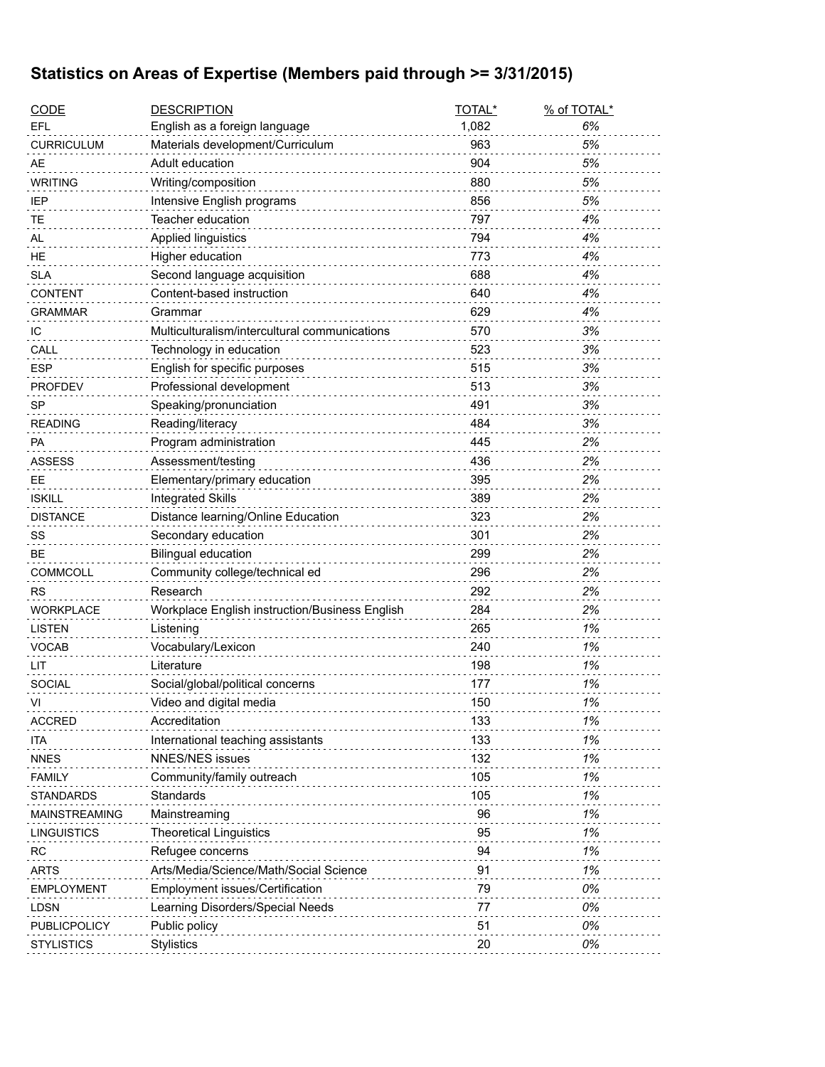## **Statistics on Areas of Expertise (Members paid through >= 3/31/2015)**

| <b>CODE</b>          | <b>DESCRIPTION</b>                             | TOTAL* | % of TOTAL* |
|----------------------|------------------------------------------------|--------|-------------|
| EFL                  | English as a foreign language                  | 1,082  | 6%          |
| <b>CURRICULUM</b>    | Materials development/Curriculum               | 963    | 5%          |
| AE                   | Adult education                                | 904    | 5%          |
| <b>WRITING</b>       | Writing/composition                            | 880    | 5%          |
| IEP                  | Intensive English programs                     | 856    | 5%          |
| TЕ                   | Teacher education                              | 797    | 4%          |
| AL                   | Applied linguistics                            | 794    | 4%          |
| HE                   | Higher education                               | 773    | 4%          |
| <b>SLA</b>           | Second language acquisition                    | 688    | 4%          |
| <b>CONTENT</b>       | Content-based instruction                      | 640    | 4%          |
| GRAMMAR              | Grammar                                        | 629    | 4%          |
| ТC                   | Multiculturalism/intercultural communications  | 570    | 3%          |
| CALL                 | Technology in education                        | 523    | 3%          |
| <b>ESP</b>           | English for specific purposes                  | 515    | 3%          |
| <b>PROFDEV</b>       | Professional development                       | 513    | 3%          |
| <b>SP</b>            | Speaking/pronunciation                         | 491    | 3%          |
| <b>READING</b>       | Reading/literacy                               | 484    | 3%          |
| PA                   | Program administration                         | 445    | 2%          |
| <b>ASSESS</b>        | Assessment/testing                             | 436    | 2%          |
| EE.                  | Elementary/primary education                   | 395    | 2%          |
| <b>ISKILL</b>        | <b>Integrated Skills</b>                       | 389    | 2%          |
| <b>DISTANCE</b>      | Distance learning/Online Education             | 323    | 2%          |
| SS                   | Secondary education                            | 301    | 2%          |
| BЕ                   | <b>Bilingual education</b>                     | 299    | 2%          |
| COMMCOLL             | Community college/technical ed                 | 296    | 2%          |
| <b>RS</b>            | Research                                       | 292    | 2%          |
| <b>WORKPLACE</b>     | Workplace English instruction/Business English | 284    | 2%          |
| LISTEN               | Listening                                      | 265    | 1%          |
| <b>VOCAB</b>         | Vocabulary/Lexicon                             | 240    | 1%          |
| LIT                  | Literature                                     | 198    | 1%          |
| <b>SOCIAL</b>        | Social/global/political concerns               | 177    | 1%          |
| VI                   | Video and digital media                        | 150    | 1%          |
| <b>ACCRED</b>        | Accreditation                                  | 133    | 1%          |
| ITA                  | International teaching assistants              | 133    | 1%          |
| <b>NNES</b>          | <b>NNES/NES issues</b>                         | 132    | 1%          |
| <b>FAMILY</b>        | Community/family outreach                      | 105    | 1%          |
| STANDARDS            | Standards                                      | 105    | 1%          |
| <b>MAINSTREAMING</b> | Mainstreaming                                  | 96     | 1%          |
| LINGUISTICS          | <b>Theoretical Linguistics</b>                 | 95     | 1%          |
| RC                   | Refugee concerns                               | 94     | 1%          |
| <b>ARTS</b>          | Arts/Media/Science/Math/Social Science         | 91     | 1%          |
| <b>EMPLOYMENT</b>    | Employment issues/Certification                | 79     | 0%          |
| <b>LDSN</b>          | Learning Disorders/Special Needs               | 77     | 0%          |
| PUBLICPOLICY         | Public policy                                  | 51     | 0%          |
| <b>STYLISTICS</b>    | <b>Stylistics</b>                              | 20     | 0%          |
|                      |                                                |        |             |